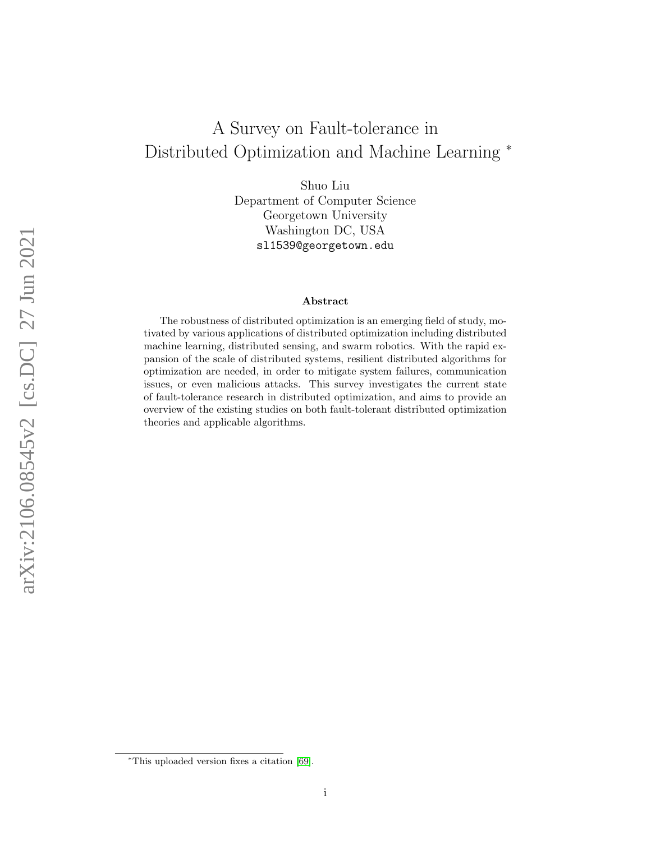# A Survey on Fault-tolerance in Distributed Optimization and Machine Learning <sup>∗</sup>

Shuo Liu Department of Computer Science Georgetown University Washington DC, USA sl1539@georgetown.edu

#### Abstract

The robustness of distributed optimization is an emerging field of study, motivated by various applications of distributed optimization including distributed machine learning, distributed sensing, and swarm robotics. With the rapid expansion of the scale of distributed systems, resilient distributed algorithms for optimization are needed, in order to mitigate system failures, communication issues, or even malicious attacks. This survey investigates the current state of fault-tolerance research in distributed optimization, and aims to provide an overview of the existing studies on both fault-tolerant distributed optimization theories and applicable algorithms.

arXiv:2106.08545v2 [cs.DC] 27 Jun 2021 arXiv:2106.08545v2 [cs.DC] 27 Jun 2021

<sup>∗</sup>This uploaded version fixes a citation [\[69\]](#page-29-0).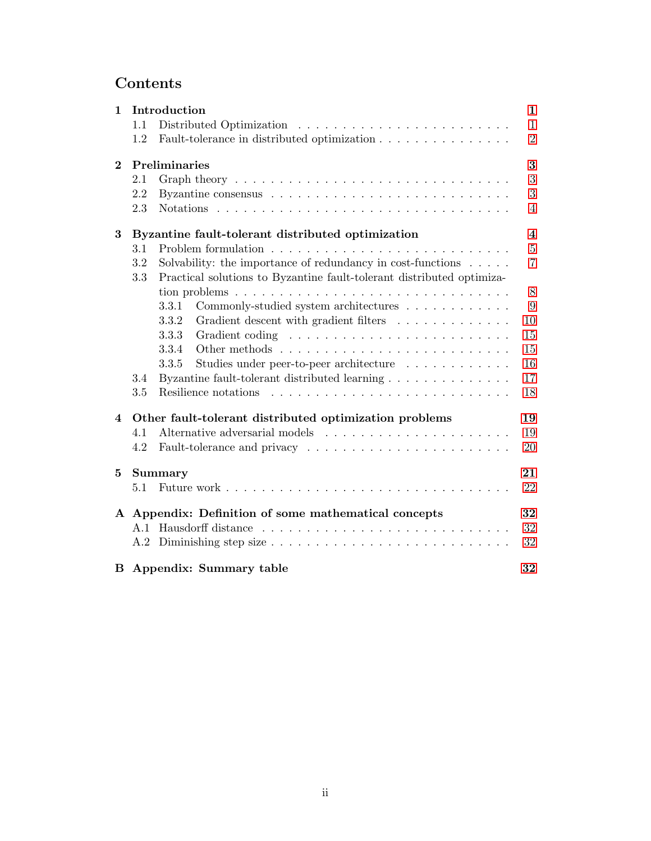## Contents

| $\mathbf{1}$ |            | Introduction                                                                                                                                    | $\mathbf{1}$            |
|--------------|------------|-------------------------------------------------------------------------------------------------------------------------------------------------|-------------------------|
|              | 1.1        | Distributed Optimization                                                                                                                        | $\mathbf{1}$            |
|              | 1.2        | Fault-tolerance in distributed optimization                                                                                                     | $\overline{2}$          |
| $\bf{2}$     |            | Preliminaries                                                                                                                                   | 3                       |
|              | 2.1        | Graph theory $\ldots \ldots \ldots \ldots \ldots \ldots \ldots \ldots \ldots \ldots$                                                            | 3                       |
|              | 2.2        |                                                                                                                                                 | 3                       |
|              | 2.3        |                                                                                                                                                 | $\overline{4}$          |
| 3            |            | Byzantine fault-tolerant distributed optimization                                                                                               | $\overline{\mathbf{4}}$ |
|              | 3.1        |                                                                                                                                                 | $\overline{5}$          |
|              | 3.2<br>3.3 | Solvability: the importance of redundancy in cost-functions $\ldots$ .<br>Practical solutions to Byzantine fault-tolerant distributed optimiza- | $\overline{7}$          |
|              |            |                                                                                                                                                 | $8\,$                   |
|              |            | Commonly-studied system architectures<br>3.3.1                                                                                                  | 9                       |
|              |            | 3.3.2<br>Gradient descent with gradient filters                                                                                                 | 10                      |
|              |            | 3.3.3                                                                                                                                           | 15                      |
|              |            | 3.3.4                                                                                                                                           | 15                      |
|              |            | 3.3.5<br>Studies under peer-to-peer architecture                                                                                                | 16                      |
|              | 3.4        | Byzantine fault-tolerant distributed learning                                                                                                   | 17                      |
|              | 3.5        |                                                                                                                                                 | 18                      |
| 4            |            | Other fault-tolerant distributed optimization problems                                                                                          | 19                      |
|              | 4.1        |                                                                                                                                                 | 19                      |
|              | 4.2        |                                                                                                                                                 | 20                      |
| 5            |            | <b>Summary</b>                                                                                                                                  | 21                      |
|              | 5.1        |                                                                                                                                                 | 22                      |
| $\mathbf{A}$ |            | Appendix: Definition of some mathematical concepts                                                                                              | 32                      |
|              | A.1        |                                                                                                                                                 | 32                      |
|              |            |                                                                                                                                                 | 32                      |
|              |            | <b>B</b> Appendix: Summary table                                                                                                                | 32                      |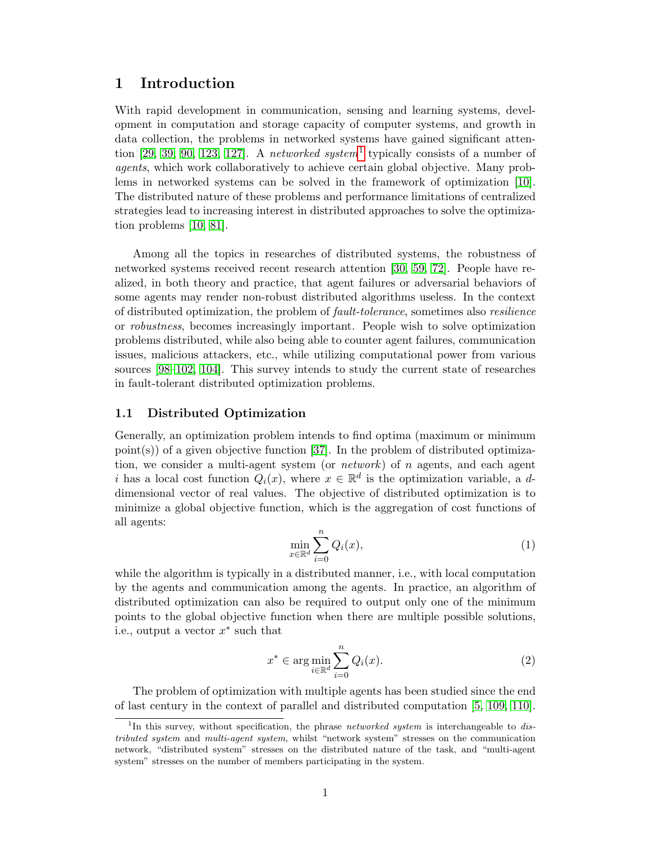## <span id="page-2-0"></span>1 Introduction

With rapid development in communication, sensing and learning systems, development in computation and storage capacity of computer systems, and growth in data collection, the problems in networked systems have gained significant atten-tion [\[29,](#page-26-0) [39,](#page-26-1) [90,](#page-30-0) [123,](#page-33-4) [127\]](#page-33-5). A networked system<sup>[1](#page-2-2)</sup> typically consists of a number of agents, which work collaboratively to achieve certain global objective. Many problems in networked systems can be solved in the framework of optimization [\[10\]](#page-24-0). The distributed nature of these problems and performance limitations of centralized strategies lead to increasing interest in distributed approaches to solve the optimization problems [\[10,](#page-24-0) [81\]](#page-29-1).

Among all the topics in researches of distributed systems, the robustness of networked systems received recent research attention [\[30,](#page-26-2) [59,](#page-28-0) [72\]](#page-29-2). People have realized, in both theory and practice, that agent failures or adversarial behaviors of some agents may render non-robust distributed algorithms useless. In the context of distributed optimization, the problem of fault-tolerance, sometimes also resilience or robustness, becomes increasingly important. People wish to solve optimization problems distributed, while also being able to counter agent failures, communication issues, malicious attackers, etc., while utilizing computational power from various sources [\[98](#page-31-0)[–102,](#page-31-1) [104\]](#page-31-2). This survey intends to study the current state of researches in fault-tolerant distributed optimization problems.

#### <span id="page-2-1"></span>1.1 Distributed Optimization

Generally, an optimization problem intends to find optima (maximum or minimum  $point(s)$  of a given objective function [\[37\]](#page-26-3). In the problem of distributed optimization, we consider a multi-agent system (or *network*) of n agents, and each agent i has a local cost function  $Q_i(x)$ , where  $x \in \mathbb{R}^d$  is the optimization variable, a ddimensional vector of real values. The objective of distributed optimization is to minimize a global objective function, which is the aggregation of cost functions of all agents:

$$
\min_{x \in \mathbb{R}^d} \sum_{i=0}^n Q_i(x),\tag{1}
$$

while the algorithm is typically in a distributed manner, i.e., with local computation by the agents and communication among the agents. In practice, an algorithm of distributed optimization can also be required to output only one of the minimum points to the global objective function when there are multiple possible solutions, i.e., output a vector  $x^*$  such that

<span id="page-2-3"></span>
$$
x^* \in \arg\min_{i \in \mathbb{R}^d} \sum_{i=0}^n Q_i(x). \tag{2}
$$

The problem of optimization with multiple agents has been studied since the end of last century in the context of parallel and distributed computation [\[5,](#page-24-1) [109,](#page-31-3) [110\]](#page-32-0).

<span id="page-2-2"></span><sup>&</sup>lt;sup>1</sup>In this survey, without specification, the phrase *networked system* is interchangeable to distributed system and multi-agent system, whilst "network system" stresses on the communication network, "distributed system" stresses on the distributed nature of the task, and "multi-agent system" stresses on the number of members participating in the system.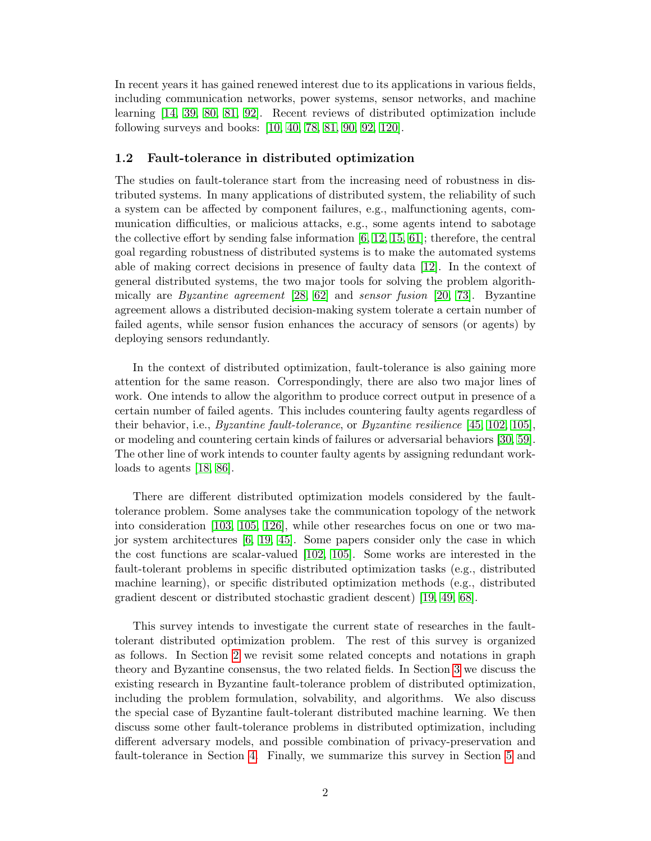In recent years it has gained renewed interest due to its applications in various fields, including communication networks, power systems, sensor networks, and machine learning [\[14,](#page-25-0) [39,](#page-26-1) [80,](#page-29-3) [81,](#page-29-1) [92\]](#page-30-1). Recent reviews of distributed optimization include following surveys and books: [\[10,](#page-24-0) [40,](#page-27-0) [78,](#page-29-4) [81,](#page-29-1) [90,](#page-30-0) [92,](#page-30-1) [120\]](#page-32-1).

#### <span id="page-3-0"></span>1.2 Fault-tolerance in distributed optimization

The studies on fault-tolerance start from the increasing need of robustness in distributed systems. In many applications of distributed system, the reliability of such a system can be affected by component failures, e.g., malfunctioning agents, communication difficulties, or malicious attacks, e.g., some agents intend to sabotage the collective effort by sending false information [\[6,](#page-24-2) [12,](#page-25-1) [15,](#page-25-2) [61\]](#page-28-1); therefore, the central goal regarding robustness of distributed systems is to make the automated systems able of making correct decisions in presence of faulty data [\[12\]](#page-25-1). In the context of general distributed systems, the two major tools for solving the problem algorithmically are Byzantine agreement [\[28,](#page-26-4) [62\]](#page-28-2) and sensor fusion [\[20,](#page-25-3) [73\]](#page-29-5). Byzantine agreement allows a distributed decision-making system tolerate a certain number of failed agents, while sensor fusion enhances the accuracy of sensors (or agents) by deploying sensors redundantly.

In the context of distributed optimization, fault-tolerance is also gaining more attention for the same reason. Correspondingly, there are also two major lines of work. One intends to allow the algorithm to produce correct output in presence of a certain number of failed agents. This includes countering faulty agents regardless of their behavior, i.e., *Byzantine fault-tolerance*, or *Byzantine resilience* [\[45,](#page-27-1) [102,](#page-31-1) [105\]](#page-31-4), or modeling and countering certain kinds of failures or adversarial behaviors [\[30,](#page-26-2) [59\]](#page-28-0). The other line of work intends to counter faulty agents by assigning redundant workloads to agents [\[18,](#page-25-4) [86\]](#page-30-2).

There are different distributed optimization models considered by the faulttolerance problem. Some analyses take the communication topology of the network into consideration [\[103,](#page-31-5) [105,](#page-31-4) [126\]](#page-33-6), while other researches focus on one or two major system architectures [\[6,](#page-24-2) [19,](#page-25-5) [45\]](#page-27-1). Some papers consider only the case in which the cost functions are scalar-valued [\[102,](#page-31-1) [105\]](#page-31-4). Some works are interested in the fault-tolerant problems in specific distributed optimization tasks (e.g., distributed machine learning), or specific distributed optimization methods (e.g., distributed gradient descent or distributed stochastic gradient descent) [\[19,](#page-25-5) [49,](#page-27-2) [68\]](#page-29-6).

This survey intends to investigate the current state of researches in the faulttolerant distributed optimization problem. The rest of this survey is organized as follows. In Section [2](#page-4-0) we revisit some related concepts and notations in graph theory and Byzantine consensus, the two related fields. In Section [3](#page-5-1) we discuss the existing research in Byzantine fault-tolerance problem of distributed optimization, including the problem formulation, solvability, and algorithms. We also discuss the special case of Byzantine fault-tolerant distributed machine learning. We then discuss some other fault-tolerance problems in distributed optimization, including different adversary models, and possible combination of privacy-preservation and fault-tolerance in Section [4.](#page-20-0) Finally, we summarize this survey in Section [5](#page-22-0) and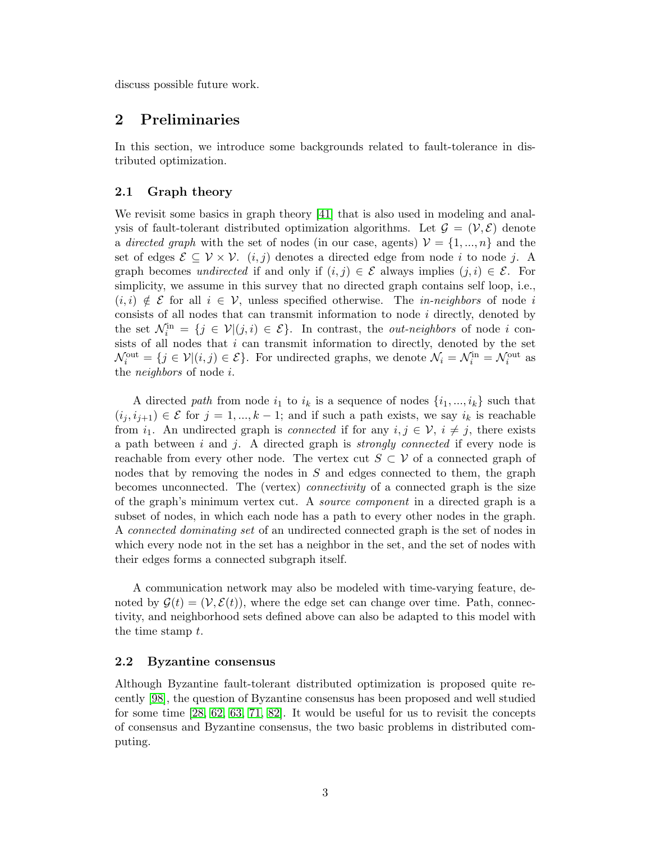discuss possible future work.

## <span id="page-4-0"></span>2 Preliminaries

In this section, we introduce some backgrounds related to fault-tolerance in distributed optimization.

#### <span id="page-4-1"></span>2.1 Graph theory

We revisit some basics in graph theory [\[41\]](#page-27-3) that is also used in modeling and analysis of fault-tolerant distributed optimization algorithms. Let  $\mathcal{G} = (\mathcal{V}, \mathcal{E})$  denote a directed graph with the set of nodes (in our case, agents)  $\mathcal{V} = \{1, ..., n\}$  and the set of edges  $\mathcal{E} \subseteq \mathcal{V} \times \mathcal{V}$ .  $(i, j)$  denotes a directed edge from node i to node j. A graph becomes undirected if and only if  $(i, j) \in \mathcal{E}$  always implies  $(j, i) \in \mathcal{E}$ . For simplicity, we assume in this survey that no directed graph contains self loop, i.e.,  $(i, i) \notin \mathcal{E}$  for all  $i \in \mathcal{V}$ , unless specified otherwise. The *in-neighbors* of node i consists of all nodes that can transmit information to node  $i$  directly, denoted by the set  $\mathcal{N}_i^{\text{in}} = \{j \in \mathcal{V} | (j,i) \in \mathcal{E} \}$ . In contrast, the *out-neighbors* of node *i* consists of all nodes that i can transmit information to directly, denoted by the set  $\mathcal{N}_i^{\text{out}} = \{j \in \mathcal{V} | (i, j) \in \mathcal{E} \}$ . For undirected graphs, we denote  $\mathcal{N}_i = \mathcal{N}_i^{\text{in}} = \mathcal{N}_i^{\text{out}}$  as the neighbors of node i.

A directed path from node  $i_1$  to  $i_k$  is a sequence of nodes  $\{i_1, ..., i_k\}$  such that  $(i_j, i_{j+1}) \in \mathcal{E}$  for  $j = 1, ..., k-1$ ; and if such a path exists, we say  $i_k$  is reachable from  $i_1$ . An undirected graph is *connected* if for any  $i, j \in \mathcal{V}$ ,  $i \neq j$ , there exists a path between i and j. A directed graph is *strongly connected* if every node is reachable from every other node. The vertex cut  $S \subset V$  of a connected graph of nodes that by removing the nodes in S and edges connected to them, the graph becomes unconnected. The (vertex) connectivity of a connected graph is the size of the graph's minimum vertex cut. A source component in a directed graph is a subset of nodes, in which each node has a path to every other nodes in the graph. A connected dominating set of an undirected connected graph is the set of nodes in which every node not in the set has a neighbor in the set, and the set of nodes with their edges forms a connected subgraph itself.

A communication network may also be modeled with time-varying feature, denoted by  $\mathcal{G}(t) = (\mathcal{V}, \mathcal{E}(t))$ , where the edge set can change over time. Path, connectivity, and neighborhood sets defined above can also be adapted to this model with the time stamp  $t$ .

#### <span id="page-4-2"></span>2.2 Byzantine consensus

Although Byzantine fault-tolerant distributed optimization is proposed quite recently [\[98\]](#page-31-0), the question of Byzantine consensus has been proposed and well studied for some time [\[28,](#page-26-4) [62,](#page-28-2) [63,](#page-28-3) [71,](#page-29-7) [82\]](#page-30-3). It would be useful for us to revisit the concepts of consensus and Byzantine consensus, the two basic problems in distributed computing.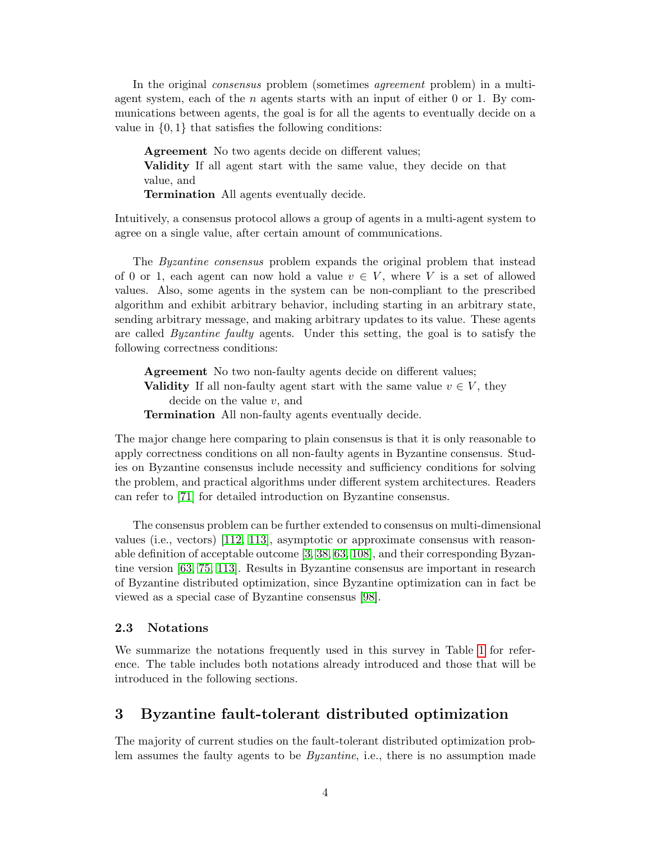In the original *consensus* problem (sometimes *agreement* problem) in a multiagent system, each of the  $n$  agents starts with an input of either 0 or 1. By communications between agents, the goal is for all the agents to eventually decide on a value in  $\{0, 1\}$  that satisfies the following conditions:

Agreement No two agents decide on different values; Validity If all agent start with the same value, they decide on that value, and Termination All agents eventually decide.

Intuitively, a consensus protocol allows a group of agents in a multi-agent system to agree on a single value, after certain amount of communications.

The Byzantine consensus problem expands the original problem that instead of 0 or 1, each agent can now hold a value  $v \in V$ , where V is a set of allowed values. Also, some agents in the system can be non-compliant to the prescribed algorithm and exhibit arbitrary behavior, including starting in an arbitrary state, sending arbitrary message, and making arbitrary updates to its value. These agents are called Byzantine faulty agents. Under this setting, the goal is to satisfy the following correctness conditions:

Agreement No two non-faulty agents decide on different values; **Validity** If all non-faulty agent start with the same value  $v \in V$ , they decide on the value v, and Termination All non-faulty agents eventually decide.

The major change here comparing to plain consensus is that it is only reasonable to apply correctness conditions on all non-faulty agents in Byzantine consensus. Studies on Byzantine consensus include necessity and sufficiency conditions for solving the problem, and practical algorithms under different system architectures. Readers can refer to [\[71\]](#page-29-7) for detailed introduction on Byzantine consensus.

The consensus problem can be further extended to consensus on multi-dimensional values (i.e., vectors) [\[112,](#page-32-2) [113\]](#page-32-3), asymptotic or approximate consensus with reasonable definition of acceptable outcome [\[3,](#page-24-3) [38,](#page-26-5) [63,](#page-28-3) [108\]](#page-31-6), and their corresponding Byzantine version [\[63,](#page-28-3) [75,](#page-29-8) [113\]](#page-32-3). Results in Byzantine consensus are important in research of Byzantine distributed optimization, since Byzantine optimization can in fact be viewed as a special case of Byzantine consensus [\[98\]](#page-31-0).

#### <span id="page-5-0"></span>2.3 Notations

We summarize the notations frequently used in this survey in Table [1](#page-6-1) for reference. The table includes both notations already introduced and those that will be introduced in the following sections.

## <span id="page-5-1"></span>3 Byzantine fault-tolerant distributed optimization

The majority of current studies on the fault-tolerant distributed optimization problem assumes the faulty agents to be *Byzantine*, i.e., there is no assumption made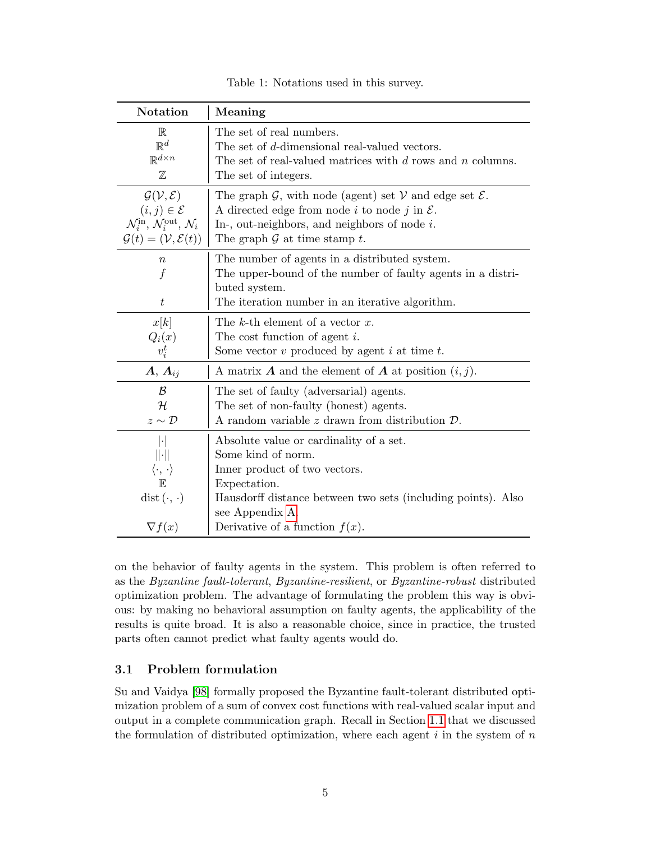| Table 1: Notations used in this survey. |  |  |
|-----------------------------------------|--|--|
|-----------------------------------------|--|--|

<span id="page-6-1"></span>

| <b>Notation</b>                                                        | Meaning                                                                                    |  |  |  |  |
|------------------------------------------------------------------------|--------------------------------------------------------------------------------------------|--|--|--|--|
| $\mathbb R$                                                            | The set of real numbers.                                                                   |  |  |  |  |
| $\mathbb{R}^d$                                                         | The set of d-dimensional real-valued vectors.                                              |  |  |  |  |
| $\mathbb{R}^{d \times n}$                                              | The set of real-valued matrices with $d$ rows and $n$ columns.                             |  |  |  |  |
| $\mathbb Z$                                                            | The set of integers.                                                                       |  |  |  |  |
| $\mathcal{G}(\mathcal{V},\mathcal{E})$                                 | The graph $\mathcal{G}$ , with node (agent) set $\mathcal{V}$ and edge set $\mathcal{E}$ . |  |  |  |  |
| $(i,j)\in\mathcal{E}$                                                  | A directed edge from node i to node j in $\mathcal{E}$ .                                   |  |  |  |  |
| $\mathcal{N}_i^{\text{in}}, \mathcal{N}_i^{\text{out}}, \mathcal{N}_i$ | In-, out-neighbors, and neighbors of node $i$ .                                            |  |  |  |  |
| $\mathcal{G}(t) = (\mathcal{V}, \mathcal{E}(t))$                       | The graph $\mathcal G$ at time stamp t.                                                    |  |  |  |  |
| $\, n$                                                                 | The number of agents in a distributed system.                                              |  |  |  |  |
| $\boldsymbol{f}$                                                       | The upper-bound of the number of faulty agents in a distri-                                |  |  |  |  |
|                                                                        | buted system.                                                                              |  |  |  |  |
| $\, t \,$                                                              | The iteration number in an iterative algorithm.                                            |  |  |  |  |
| x[k]                                                                   | The k-th element of a vector $x$ .                                                         |  |  |  |  |
| $Q_i(x)$                                                               | The cost function of agent $i$ .                                                           |  |  |  |  |
| $v_i^t$                                                                | Some vector $v$ produced by agent $i$ at time $t$ .                                        |  |  |  |  |
| $\boldsymbol{A},\,\boldsymbol{A}_{ij}$                                 | A matrix <b>A</b> and the element of <b>A</b> at position $(i, j)$ .                       |  |  |  |  |
| $\mathcal{B}$                                                          | The set of faulty (adversarial) agents.                                                    |  |  |  |  |
| $\mathcal H$                                                           | The set of non-faulty (honest) agents.                                                     |  |  |  |  |
| $z \sim \mathcal{D}$                                                   | A random variable z drawn from distribution $\mathcal{D}$ .                                |  |  |  |  |
| $\vert \cdot \vert$                                                    | Absolute value or cardinality of a set.                                                    |  |  |  |  |
| $\ \cdot\ $                                                            | Some kind of norm.                                                                         |  |  |  |  |
| $\langle \cdot, \cdot \rangle$                                         | Inner product of two vectors.                                                              |  |  |  |  |
| $\mathbb{E}$                                                           | Expectation.                                                                               |  |  |  |  |
| $dist(\cdot, \cdot)$                                                   | Hausdorff distance between two sets (including points). Also                               |  |  |  |  |
|                                                                        | see Appendix A.                                                                            |  |  |  |  |
| $\nabla f(x)$                                                          | Derivative of a function $f(x)$ .                                                          |  |  |  |  |

on the behavior of faulty agents in the system. This problem is often referred to as the Byzantine fault-tolerant, Byzantine-resilient, or Byzantine-robust distributed optimization problem. The advantage of formulating the problem this way is obvious: by making no behavioral assumption on faulty agents, the applicability of the results is quite broad. It is also a reasonable choice, since in practice, the trusted parts often cannot predict what faulty agents would do.

#### <span id="page-6-0"></span>3.1 Problem formulation

Su and Vaidya [\[98\]](#page-31-0) formally proposed the Byzantine fault-tolerant distributed optimization problem of a sum of convex cost functions with real-valued scalar input and output in a complete communication graph. Recall in Section [1.1](#page-2-1) that we discussed the formulation of distributed optimization, where each agent  $i$  in the system of  $n$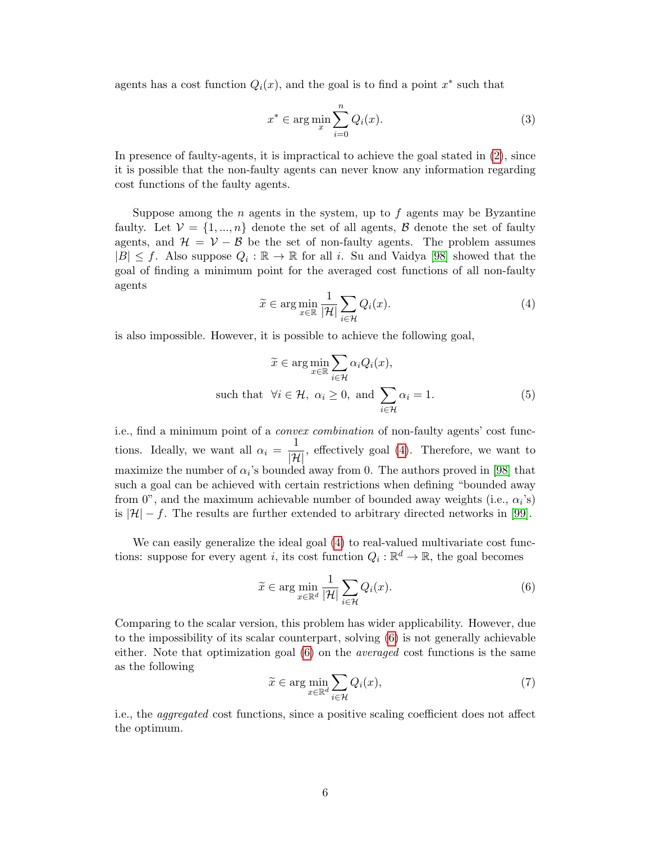agents has a cost function  $Q_i(x)$ , and the goal is to find a point  $x^*$  such that

<span id="page-7-3"></span>
$$
x^* \in \arg\min_{x} \sum_{i=0}^n Q_i(x). \tag{3}
$$

In presence of faulty-agents, it is impractical to achieve the goal stated in [\(2\)](#page-2-3), since it is possible that the non-faulty agents can never know any information regarding cost functions of the faulty agents.

Suppose among the n agents in the system, up to f agents may be Byzantine faulty. Let  $V = \{1, ..., n\}$  denote the set of all agents, B denote the set of faulty agents, and  $\mathcal{H} = \mathcal{V} - \mathcal{B}$  be the set of non-faulty agents. The problem assumes  $|B| \leq f$ . Also suppose  $Q_i : \mathbb{R} \to \mathbb{R}$  for all i. Su and Vaidya [\[98\]](#page-31-0) showed that the goal of finding a minimum point for the averaged cost functions of all non-faulty agents

<span id="page-7-0"></span>
$$
\widetilde{x} \in \arg\min_{x \in \mathbb{R}} \frac{1}{|\mathcal{H}|} \sum_{i \in \mathcal{H}} Q_i(x). \tag{4}
$$

is also impossible. However, it is possible to achieve the following goal,

$$
\widetilde{x} \in \arg\min_{x \in \mathbb{R}} \sum_{i \in \mathcal{H}} \alpha_i Q_i(x),
$$
  
such that  $\forall i \in \mathcal{H}, \ \alpha_i \ge 0$ , and  $\sum_{i \in \mathcal{H}} \alpha_i = 1$ . (5)

i.e., find a minimum point of a convex combination of non-faulty agents' cost functions. Ideally, we want all  $\alpha_i = \frac{1}{|\mathcal{H}|}$ , effectively goal [\(4\)](#page-7-0). Therefore, we want to maximize the number of  $\alpha_i$ 's bounded away from 0. The authors proved in [\[98\]](#page-31-0) that such a goal can be achieved with certain restrictions when defining "bounded away from 0", and the maximum achievable number of bounded away weights (i.e.,  $\alpha_i$ 's) is  $|\mathcal{H}| - f$ . The results are further extended to arbitrary directed networks in [\[99\]](#page-31-7).

We can easily generalize the ideal goal  $(4)$  to real-valued multivariate cost functions: suppose for every agent *i*, its cost function  $Q_i: \mathbb{R}^d \to \mathbb{R}$ , the goal becomes

<span id="page-7-1"></span>
$$
\widetilde{x} \in \arg\min_{x \in \mathbb{R}^d} \frac{1}{|\mathcal{H}|} \sum_{i \in \mathcal{H}} Q_i(x). \tag{6}
$$

Comparing to the scalar version, this problem has wider applicability. However, due to the impossibility of its scalar counterpart, solving [\(6\)](#page-7-1) is not generally achievable either. Note that optimization goal  $(6)$  on the *averaged* cost functions is the same as the following

<span id="page-7-2"></span>
$$
\widetilde{x} \in \arg\min_{x \in \mathbb{R}^d} \sum_{i \in \mathcal{H}} Q_i(x),\tag{7}
$$

i.e., the aggregated cost functions, since a positive scaling coefficient does not affect the optimum.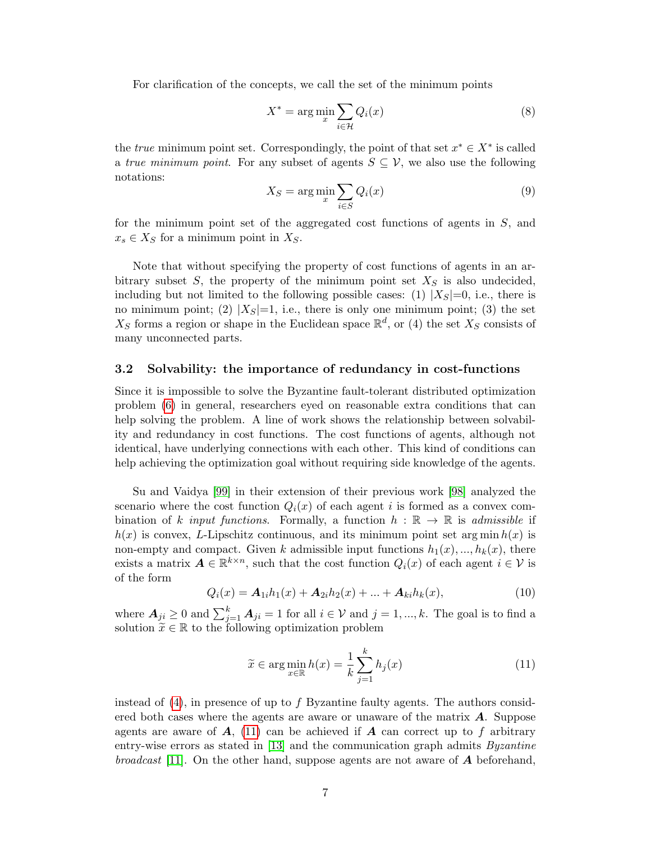For clarification of the concepts, we call the set of the minimum points

$$
X^* = \arg\min_{x} \sum_{i \in \mathcal{H}} Q_i(x) \tag{8}
$$

the *true* minimum point set. Correspondingly, the point of that set  $x^* \in X^*$  is called a true minimum point. For any subset of agents  $S \subseteq V$ , we also use the following notations:

$$
X_S = \arg\min_{x} \sum_{i \in S} Q_i(x) \tag{9}
$$

for the minimum point set of the aggregated cost functions of agents in S, and  $x_s \in X_S$  for a minimum point in  $X_S$ .

Note that without specifying the property of cost functions of agents in an arbitrary subset  $S$ , the property of the minimum point set  $X_S$  is also undecided, including but not limited to the following possible cases: (1)  $|X_S|=0$ , i.e., there is no minimum point; (2)  $|X_S|=1$ , i.e., there is only one minimum point; (3) the set  $X_S$  forms a region or shape in the Euclidean space  $\mathbb{R}^d$ , or (4) the set  $X_S$  consists of many unconnected parts.

#### <span id="page-8-0"></span>3.2 Solvability: the importance of redundancy in cost-functions

Since it is impossible to solve the Byzantine fault-tolerant distributed optimization problem [\(6\)](#page-7-1) in general, researchers eyed on reasonable extra conditions that can help solving the problem. A line of work shows the relationship between solvability and redundancy in cost functions. The cost functions of agents, although not identical, have underlying connections with each other. This kind of conditions can help achieving the optimization goal without requiring side knowledge of the agents.

Su and Vaidya [\[99\]](#page-31-7) in their extension of their previous work [\[98\]](#page-31-0) analyzed the scenario where the cost function  $Q_i(x)$  of each agent i is formed as a convex combination of k input functions. Formally, a function  $h : \mathbb{R} \to \mathbb{R}$  is admissible if  $h(x)$  is convex, L-Lipschitz continuous, and its minimum point set arg min  $h(x)$  is non-empty and compact. Given k admissible input functions  $h_1(x),..., h_k(x)$ , there exists a matrix  $A \in \mathbb{R}^{k \times n}$ , such that the cost function  $Q_i(x)$  of each agent  $i \in \mathcal{V}$  is of the form

$$
Q_i(x) = A_{1i}h_1(x) + A_{2i}h_2(x) + \dots + A_{ki}h_k(x),
$$
\n(10)

where  $A_{ji} \geq 0$  and  $\sum_{j=1}^{k} A_{ji} = 1$  for all  $i \in V$  and  $j = 1, ..., k$ . The goal is to find a solution  $\widetilde{x} \in \mathbb{R}$  to the following optimization problem

<span id="page-8-1"></span>
$$
\widetilde{x} \in \arg\min_{x \in \mathbb{R}} h(x) = \frac{1}{k} \sum_{j=1}^{k} h_j(x)
$$
\n(11)

instead of  $(4)$ , in presence of up to f Byzantine faulty agents. The authors considered both cases where the agents are aware or unaware of the matrix  $\boldsymbol{A}$ . Suppose agents are aware of  $A$ , [\(11\)](#page-8-1) can be achieved if  $A$  can correct up to f arbitrary entry-wise errors as stated in [\[13\]](#page-25-6) and the communication graph admits *Byzantine* broadcast [\[11\]](#page-24-4). On the other hand, suppose agents are not aware of  $\boldsymbol{A}$  beforehand,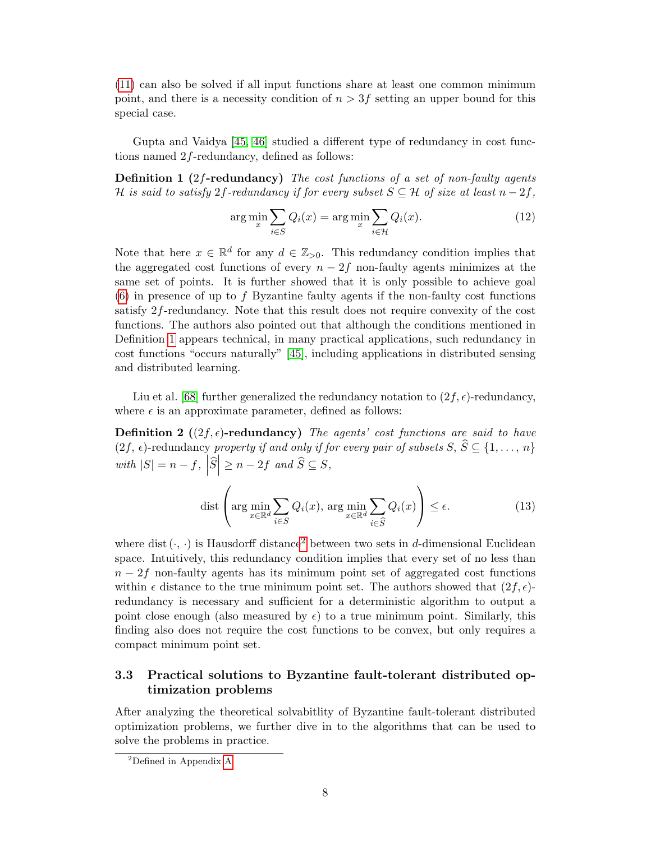[\(11\)](#page-8-1) can also be solved if all input functions share at least one common minimum point, and there is a necessity condition of  $n > 3f$  setting an upper bound for this special case.

Gupta and Vaidya [\[45,](#page-27-1) [46\]](#page-27-4) studied a different type of redundancy in cost functions named 2f-redundancy, defined as follows:

**Definition 1** (2f-redundancy) The cost functions of a set of non-faulty agents H is said to satisfy 2f-redundancy if for every subset  $S \subseteq \mathcal{H}$  of size at least  $n-2f$ ,

<span id="page-9-1"></span>
$$
\arg\min_{x} \sum_{i \in S} Q_i(x) = \arg\min_{x} \sum_{i \in \mathcal{H}} Q_i(x). \tag{12}
$$

Note that here  $x \in \mathbb{R}^d$  for any  $d \in \mathbb{Z}_{>0}$ . This redundancy condition implies that the aggregated cost functions of every  $n-2f$  non-faulty agents minimizes at the same set of points. It is further showed that it is only possible to achieve goal  $(6)$  in presence of up to f Byzantine faulty agents if the non-faulty cost functions satisfy 2f-redundancy. Note that this result does not require convexity of the cost functions. The authors also pointed out that although the conditions mentioned in Definition [1](#page-9-1) appears technical, in many practical applications, such redundancy in cost functions "occurs naturally" [\[45\]](#page-27-1), including applications in distributed sensing and distributed learning.

Liu et al. [\[68\]](#page-29-6) further generalized the redundancy notation to  $(2f, \epsilon)$ -redundancy, where  $\epsilon$  is an approximate parameter, defined as follows:

**Definition 2** ( $(2f, \epsilon)$ -redundancy) The agents' cost functions are said to have  $(2f, \epsilon)$ -redundancy property if and only if for every pair of subsets  $S, \hat{S} \subseteq \{1, \ldots, n\}$ with  $|S| = n - f$ ,  $|\widehat{S}| \ge n - 2f$  and  $\widehat{S} \subseteq S$ ,

$$
\text{dist}\left(\arg\min_{x\in\mathbb{R}^d}\sum_{i\in S}Q_i(x),\,\arg\min_{x\in\mathbb{R}^d}\sum_{i\in\widehat{S}}Q_i(x)\right)\le\epsilon.\tag{13}
$$

where dist  $(\cdot, \cdot)$  is Hausdorff distance<sup>[2](#page-9-2)</sup> between two sets in d-dimensional Euclidean space. Intuitively, this redundancy condition implies that every set of no less than  $n-2f$  non-faulty agents has its minimum point set of aggregated cost functions within  $\epsilon$  distance to the true minimum point set. The authors showed that  $(2f, \epsilon)$ redundancy is necessary and sufficient for a deterministic algorithm to output a point close enough (also measured by  $\epsilon$ ) to a true minimum point. Similarly, this finding also does not require the cost functions to be convex, but only requires a compact minimum point set.

### <span id="page-9-0"></span>3.3 Practical solutions to Byzantine fault-tolerant distributed optimization problems

After analyzing the theoretical solvabitlity of Byzantine fault-tolerant distributed optimization problems, we further dive in to the algorithms that can be used to solve the problems in practice.

<span id="page-9-2"></span><sup>2</sup>Defined in Appendix [A](#page-33-0)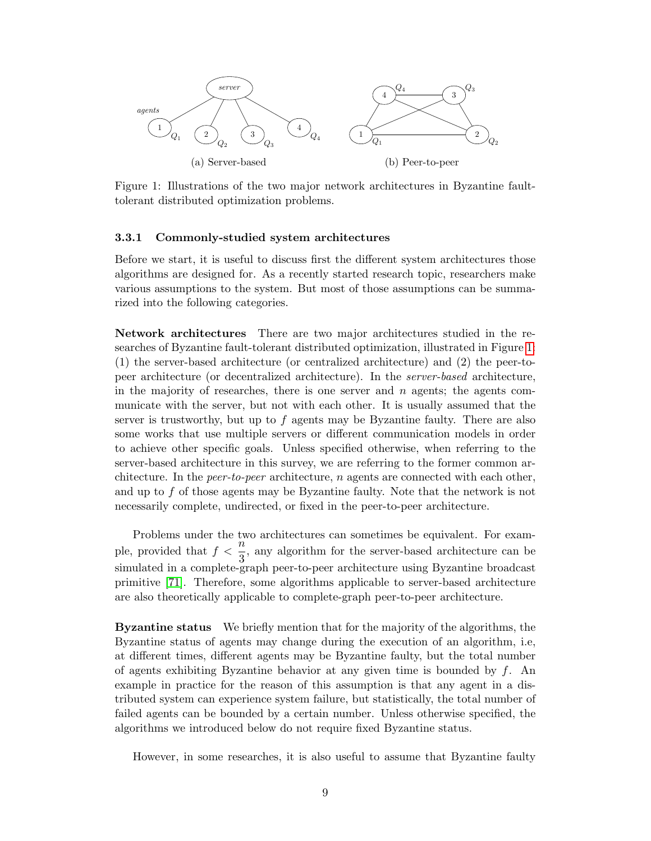<span id="page-10-1"></span>

Figure 1: Illustrations of the two major network architectures in Byzantine faulttolerant distributed optimization problems.

#### <span id="page-10-0"></span>3.3.1 Commonly-studied system architectures

Before we start, it is useful to discuss first the different system architectures those algorithms are designed for. As a recently started research topic, researchers make various assumptions to the system. But most of those assumptions can be summarized into the following categories.

Network architectures There are two major architectures studied in the researches of Byzantine fault-tolerant distributed optimization, illustrated in Figure [1:](#page-10-1) (1) the server-based architecture (or centralized architecture) and (2) the peer-topeer architecture (or decentralized architecture). In the server-based architecture, in the majority of researches, there is one server and  $n$  agents; the agents communicate with the server, but not with each other. It is usually assumed that the server is trustworthy, but up to  $f$  agents may be Byzantine faulty. There are also some works that use multiple servers or different communication models in order to achieve other specific goals. Unless specified otherwise, when referring to the server-based architecture in this survey, we are referring to the former common architecture. In the *peer-to-peer* architecture,  $n$  agents are connected with each other, and up to f of those agents may be Byzantine faulty. Note that the network is not necessarily complete, undirected, or fixed in the peer-to-peer architecture.

Problems under the two architectures can sometimes be equivalent. For example, provided that  $f < \frac{n}{3}$ , any algorithm for the server-based architecture can be simulated in a complete-graph peer-to-peer architecture using Byzantine broadcast primitive [\[71\]](#page-29-7). Therefore, some algorithms applicable to server-based architecture are also theoretically applicable to complete-graph peer-to-peer architecture.

Byzantine status We briefly mention that for the majority of the algorithms, the Byzantine status of agents may change during the execution of an algorithm, i.e, at different times, different agents may be Byzantine faulty, but the total number of agents exhibiting Byzantine behavior at any given time is bounded by  $f$ . An example in practice for the reason of this assumption is that any agent in a distributed system can experience system failure, but statistically, the total number of failed agents can be bounded by a certain number. Unless otherwise specified, the algorithms we introduced below do not require fixed Byzantine status.

However, in some researches, it is also useful to assume that Byzantine faulty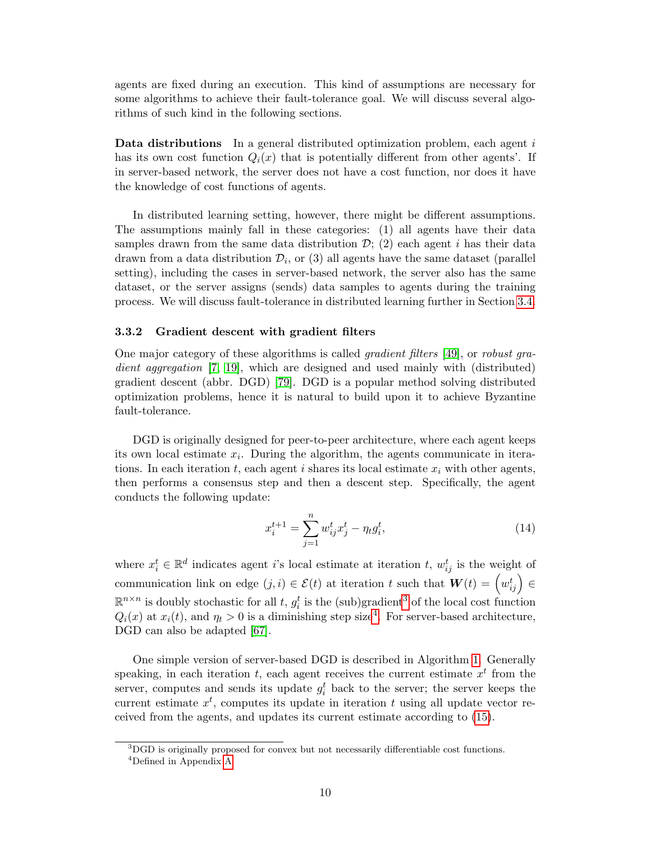agents are fixed during an execution. This kind of assumptions are necessary for some algorithms to achieve their fault-tolerance goal. We will discuss several algorithms of such kind in the following sections.

Data distributions In a general distributed optimization problem, each agent i has its own cost function  $Q_i(x)$  that is potentially different from other agents'. If in server-based network, the server does not have a cost function, nor does it have the knowledge of cost functions of agents.

In distributed learning setting, however, there might be different assumptions. The assumptions mainly fall in these categories: (1) all agents have their data samples drawn from the same data distribution  $\mathcal{D}$ ; (2) each agent i has their data drawn from a data distribution  $\mathcal{D}_i$ , or (3) all agents have the same dataset (parallel setting), including the cases in server-based network, the server also has the same dataset, or the server assigns (sends) data samples to agents during the training process. We will discuss fault-tolerance in distributed learning further in Section [3.4.](#page-18-0)

#### <span id="page-11-0"></span>3.3.2 Gradient descent with gradient filters

One major category of these algorithms is called gradient filters [\[49\]](#page-27-2), or robust gra-dient aggregation [\[7,](#page-24-5) [19\]](#page-25-5), which are designed and used mainly with (distributed) gradient descent (abbr. DGD) [\[79\]](#page-29-9). DGD is a popular method solving distributed optimization problems, hence it is natural to build upon it to achieve Byzantine fault-tolerance.

DGD is originally designed for peer-to-peer architecture, where each agent keeps its own local estimate  $x_i$ . During the algorithm, the agents communicate in iterations. In each iteration t, each agent i shares its local estimate  $x_i$  with other agents, then performs a consensus step and then a descent step. Specifically, the agent conducts the following update:

<span id="page-11-3"></span>
$$
x_i^{t+1} = \sum_{j=1}^n w_{ij}^t x_j^t - \eta_t g_i^t,\tag{14}
$$

where  $x_i^t \in \mathbb{R}^d$  indicates agent *i*'s local estimate at iteration *t*,  $w_{ij}^t$  is the weight of communication link on edge  $(j, i) \in \mathcal{E}(t)$  at iteration t such that  $\boldsymbol{W}(t) = \left(w_{ij}^t\right) \in$  $\mathbb{R}^{n \times n}$  is doubly stochastic for all t,  $g_i^t$  is the (sub)gradient<sup>[3](#page-11-1)</sup> of the local cost function  $Q_i(x)$  at  $x_i(t)$ , and  $\eta_t > 0$  is a diminishing step size<sup>[4](#page-11-2)</sup>. For server-based architecture, DGD can also be adapted [\[67\]](#page-28-4).

One simple version of server-based DGD is described in Algorithm [1.](#page-12-0) Generally speaking, in each iteration  $t$ , each agent receives the current estimate  $x<sup>t</sup>$  from the server, computes and sends its update  $g_i^t$  back to the server; the server keeps the current estimate  $x^t$ , computes its update in iteration t using all update vector received from the agents, and updates its current estimate according to [\(15\)](#page-12-1).

<span id="page-11-2"></span><span id="page-11-1"></span><sup>3</sup>DGD is originally proposed for convex but not necessarily differentiable cost functions. <sup>4</sup>Defined in Appendix [A](#page-33-0)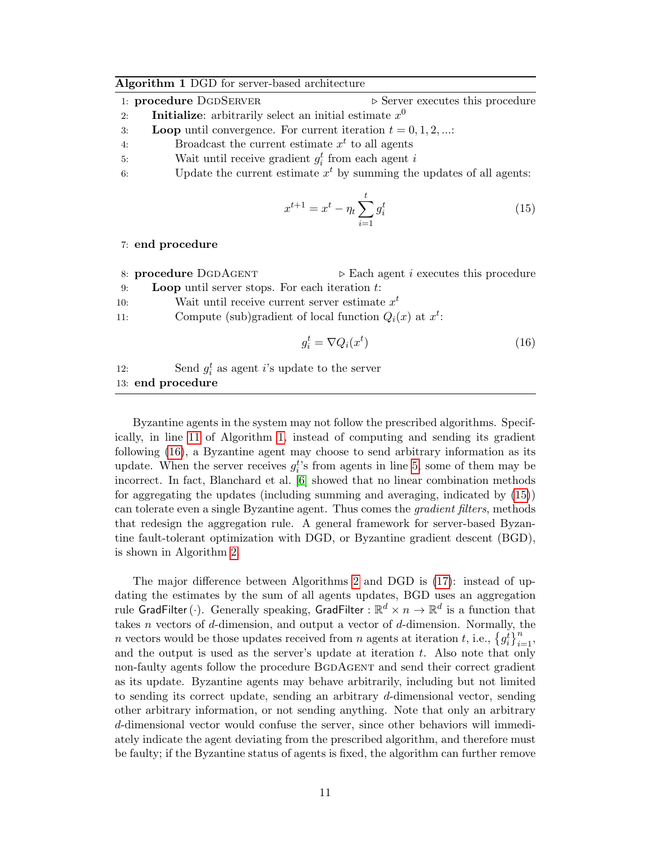#### <span id="page-12-0"></span>Algorithm 1 DGD for server-based architecture

- 1: **procedure** DGDSERVER  $\triangleright$  Server executes this procedure
- 2: **Initialize:** arbitrarily select an initial estimate  $x^0$ 3: Loop until convergence. For current iteration  $t = 0, 1, 2, ...$ :
- 4: Broadcast the current estimate  $x<sup>t</sup>$  to all agents
- 
- 5: Wait until receive gradient  $g_i^t$  from each agent i
- 6: Update the current estimate  $x<sup>t</sup>$  by summing the updates of all agents:

<span id="page-12-1"></span>
$$
x^{t+1} = x^t - \eta_t \sum_{i=1}^t g_i^t \tag{15}
$$

#### 7: end procedure

- 8: **procedure** DGDAGENT  $\triangleright$  Each agent *i* executes this procedure 9: Loop until server stops. For each iteration  $t$ :
- 10: Wait until receive current server estimate  $x^t$
- 11: Compute (sub)gradient of local function  $Q_i(x)$  at  $x^t$ :

<span id="page-12-2"></span>
$$
g_i^t = \nabla Q_i(x^t) \tag{16}
$$

12: Send  $g_i^t$  as agent *i*'s update to the server 13: end procedure

Byzantine agents in the system may not follow the prescribed algorithms. Specifically, in line [11](#page-13-0) of Algorithm [1,](#page-12-0) instead of computing and sending its gradient following [\(16\)](#page-12-2), a Byzantine agent may choose to send arbitrary information as its update. When the server receives  $g_i^t$ 's from agents in line [5,](#page-13-1) some of them may be incorrect. In fact, Blanchard et al. [\[6\]](#page-24-2) showed that no linear combination methods for aggregating the updates (including summing and averaging, indicated by [\(15\)](#page-12-1)) can tolerate even a single Byzantine agent. Thus comes the gradient filters, methods that redesign the aggregation rule. A general framework for server-based Byzantine fault-tolerant optimization with DGD, or Byzantine gradient descent (BGD), is shown in Algorithm [2.](#page-13-1)

The major difference between Algorithms [2](#page-13-1) and DGD is [\(17\)](#page-13-0): instead of updating the estimates by the sum of all agents updates, BGD uses an aggregation rule GradFilter ( $\cdot$ ). Generally speaking, GradFilter :  $\mathbb{R}^d \times n \to \mathbb{R}^d$  is a function that takes *n* vectors of *d*-dimension, and output a vector of *d*-dimension. Normally, the *n* vectors would be those updates received from *n* agents at iteration *t*, i.e.,  $\left\{g_i^t\right\}_{i=1}^n$ , and the output is used as the server's update at iteration  $t$ . Also note that only non-faulty agents follow the procedure BGDAGENT and send their correct gradient as its update. Byzantine agents may behave arbitrarily, including but not limited to sending its correct update, sending an arbitrary d-dimensional vector, sending other arbitrary information, or not sending anything. Note that only an arbitrary d-dimensional vector would confuse the server, since other behaviors will immediately indicate the agent deviating from the prescribed algorithm, and therefore must be faulty; if the Byzantine status of agents is fixed, the algorithm can further remove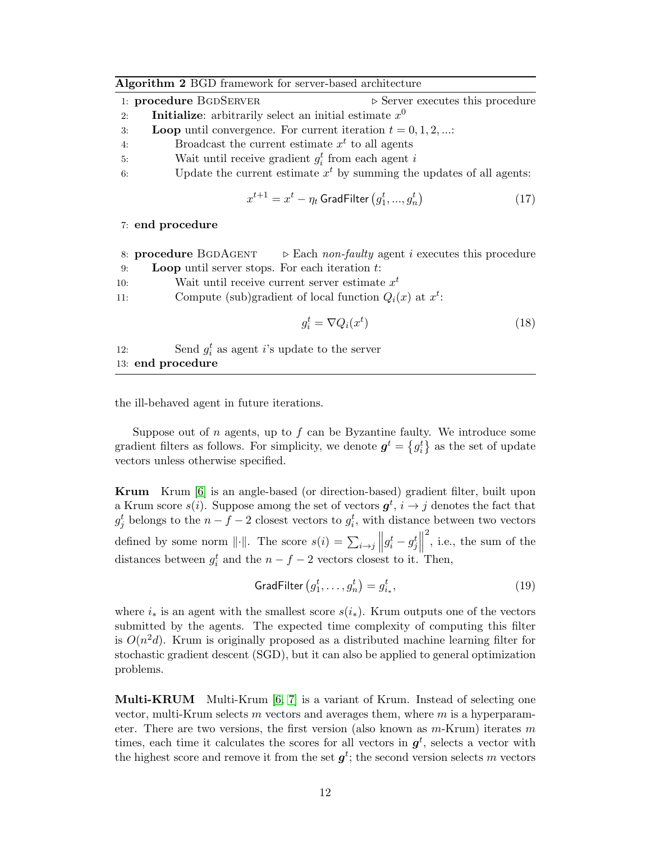<span id="page-13-1"></span>

| Algorithm 2 BGD framework for server-based architecture |  |  |
|---------------------------------------------------------|--|--|
|---------------------------------------------------------|--|--|

| 1: procedure BGDSERVER |                                                                 |  |  |  |  | $\triangleright$ Server executes this procedure |
|------------------------|-----------------------------------------------------------------|--|--|--|--|-------------------------------------------------|
| 2:                     | <b>Initialize:</b> arbitrarily select an initial estimate $x^0$ |  |  |  |  |                                                 |

- 3: Loop until convergence. For current iteration  $t = 0, 1, 2, ...$ :
- 4: Broadcast the current estimate  $x<sup>t</sup>$  to all agents
- 5: Wait until receive gradient  $g_i^t$  from each agent i
- 6: Update the current estimate  $x<sup>t</sup>$  by summing the updates of all agents:

<span id="page-13-0"></span>
$$
x^{t+1} = x^t - \eta_t \text{ GradFilter}\left(g_1^t, ..., g_n^t\right) \tag{17}
$$

#### 7: end procedure

|     | 8: <b>procedure</b> BGDAGENT $\triangleright$ Each non-faulty agent i executes this procedure |  |  |  |  |  |
|-----|-----------------------------------------------------------------------------------------------|--|--|--|--|--|
| 9:  | <b>Loop</b> until server stops. For each iteration $t$ :                                      |  |  |  |  |  |
| 10: | Wait until receive current server estimate $x^t$                                              |  |  |  |  |  |
| 11: | Compute (sub)gradient of local function $Q_i(x)$ at $x^t$ .                                   |  |  |  |  |  |
|     | $g_i^t = \nabla Q_i(x^t)$<br>(18)                                                             |  |  |  |  |  |
| 10. | $\mathcal{C}$ and $\lambda$ as a neart $\lambda$ a undertake the server                       |  |  |  |  |  |

12: Send  $g_i^t$  as agent *i*'s update to the server 13: end procedure

the ill-behaved agent in future iterations.

Suppose out of  $n$  agents, up to  $f$  can be Byzantine faulty. We introduce some gradient filters as follows. For simplicity, we denote  $g^t = \{g^t_i\}$  as the set of update vectors unless otherwise specified.

Krum Krum [\[6\]](#page-24-2) is an angle-based (or direction-based) gradient filter, built upon a Krum score  $s(i)$ . Suppose among the set of vectors  $g^t$ ,  $i \to j$  denotes the fact that  $g_j^t$  belongs to the  $n-f-2$  closest vectors to  $g_i^t$ , with distance between two vectors defined by some norm  $\|\cdot\|$ . The score  $s(i) = \sum_{i \to j} \left\| g_i^t - g_j^t \right\|$  $2^2$ , i.e., the sum of the distances between  $g_i^t$  and the  $n - f - 2$  vectors closest to it. Then,

$$
GradFilter\left(g_1^t, \ldots, g_n^t\right) = g_{i_*}^t,\tag{19}
$$

where  $i_*$  is an agent with the smallest score  $s(i_*)$ . Krum outputs one of the vectors submitted by the agents. The expected time complexity of computing this filter is  $O(n^2d)$ . Krum is originally proposed as a distributed machine learning filter for stochastic gradient descent (SGD), but it can also be applied to general optimization problems.

**Multi-KRUM** Multi-Krum  $[6, 7]$  $[6, 7]$  is a variant of Krum. Instead of selecting one vector, multi-Krum selects m vectors and averages them, where  $m$  is a hyperparameter. There are two versions, the first version (also known as  $m$ -Krum) iterates m times, each time it calculates the scores for all vectors in  $g<sup>t</sup>$ , selects a vector with the highest score and remove it from the set  $g^t$ ; the second version selects m vectors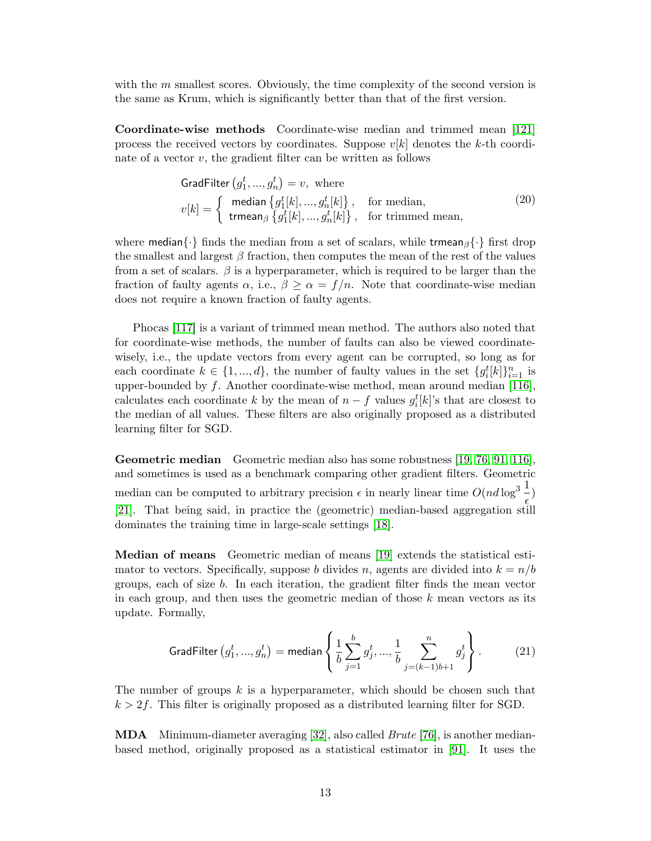with the  $m$  smallest scores. Obviously, the time complexity of the second version is the same as Krum, which is significantly better than that of the first version.

Coordinate-wise methods Coordinate-wise median and trimmed mean [\[121\]](#page-32-4) process the received vectors by coordinates. Suppose  $v[k]$  denotes the k-th coordinate of a vector  $v$ , the gradient filter can be written as follows

$$
GradFilter (g_1^t, ..., g_n^t) = v, \text{ where}
$$
  
\n
$$
v[k] = \begin{cases} \text{median} \{g_1^t[k], ..., g_n^t[k]\}, & \text{for median,} \\ \text{trmean}_{\beta} \{g_1^t[k], ..., g_n^t[k]\}, & \text{for trimmed mean,} \end{cases}
$$
\n(20)

where median $\{\cdot\}$  finds the median from a set of scalars, while trmean $\beta\{\cdot\}$  first drop the smallest and largest  $\beta$  fraction, then computes the mean of the rest of the values from a set of scalars.  $\beta$  is a hyperparameter, which is required to be larger than the fraction of faulty agents  $\alpha$ , i.e.,  $\beta \geq \alpha = f/n$ . Note that coordinate-wise median does not require a known fraction of faulty agents.

Phocas [\[117\]](#page-32-5) is a variant of trimmed mean method. The authors also noted that for coordinate-wise methods, the number of faults can also be viewed coordinatewisely, i.e., the update vectors from every agent can be corrupted, so long as for each coordinate  $k \in \{1, ..., d\}$ , the number of faulty values in the set  $\{g_i^t[k]\}_{i=1}^n$  is upper-bounded by  $f$ . Another coordinate-wise method, mean around median [\[116\]](#page-32-6), calculates each coordinate k by the mean of  $n - f$  values  $g_i^t[k]$ 's that are closest to the median of all values. These filters are also originally proposed as a distributed learning filter for SGD.

Geometric median Geometric median also has some robustness [\[19,](#page-25-5) [76,](#page-29-10) [91,](#page-30-4) [116\]](#page-32-6), and sometimes is used as a benchmark comparing other gradient filters. Geometric median can be computed to arbitrary precision  $\epsilon$  in nearly linear time  $O(nd \log^3 \frac{1}{n})$  $\frac{1}{\epsilon}$ [\[21\]](#page-25-7). That being said, in practice the (geometric) median-based aggregation still dominates the training time in large-scale settings [\[18\]](#page-25-4).

Median of means Geometric median of means [\[19\]](#page-25-5) extends the statistical estimator to vectors. Specifically, suppose b divides n, agents are divided into  $k = n/b$ groups, each of size b. In each iteration, the gradient filter finds the mean vector in each group, and then uses the geometric median of those  $k$  mean vectors as its update. Formally,

$$
\text{GradFilter}\left(g_1^t, ..., g_n^t\right) = \text{median}\left\{\frac{1}{b} \sum_{j=1}^b g_j^t, ..., \frac{1}{b} \sum_{j=(k-1)b+1}^n g_j^t\right\}.\tag{21}
$$

The number of groups  $k$  is a hyperparameter, which should be chosen such that  $k > 2f$ . This filter is originally proposed as a distributed learning filter for SGD.

MDA Minimum-diameter averaging [\[32\]](#page-26-6), also called Brute [\[76\]](#page-29-10), is another medianbased method, originally proposed as a statistical estimator in [\[91\]](#page-30-4). It uses the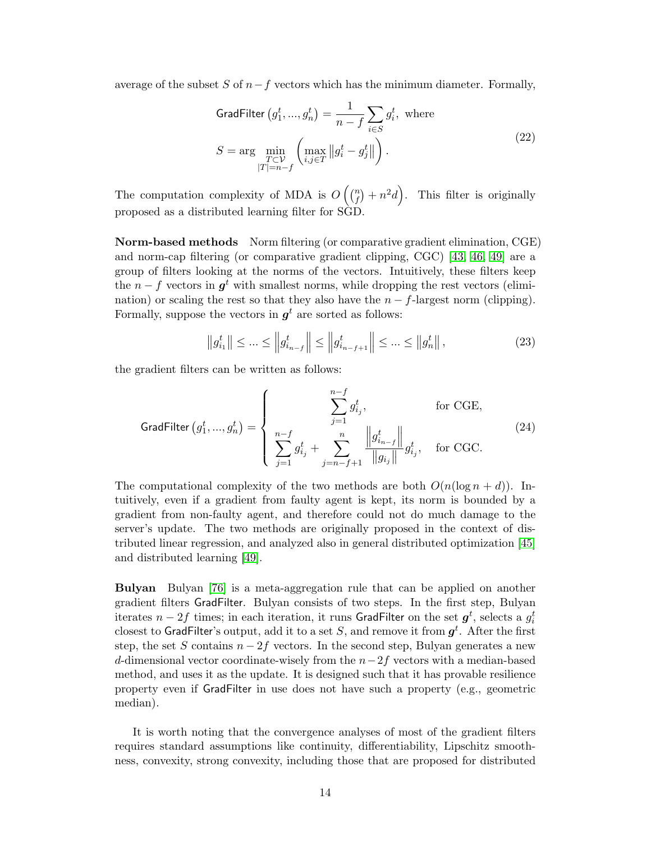average of the subset S of  $n-f$  vectors which has the minimum diameter. Formally,

$$
\begin{aligned}\n\text{GradFilter} \left( g_1^t, \dots, g_n^t \right) &= \frac{1}{n - f} \sum_{i \in S} g_i^t, \text{ where} \\
S &= \arg \min_{\substack{T \subset \mathcal{V} \\ |T| = n - f}} \left( \max_{i, j \in T} \left\| g_i^t - g_j^t \right\| \right).\n\end{aligned} \tag{22}
$$

The computation complexity of MDA is  $O\left(\binom{n}{f}\right)$  $f(n) + n^2d$ . This filter is originally proposed as a distributed learning filter for SGD.

Norm-based methods Norm filtering (or comparative gradient elimination, CGE) and norm-cap filtering (or comparative gradient clipping, CGC) [\[43,](#page-27-5) [46,](#page-27-4) [49\]](#page-27-2) are a group of filters looking at the norms of the vectors. Intuitively, these filters keep the  $n - f$  vectors in  $g<sup>t</sup>$  with smallest norms, while dropping the rest vectors (elimination) or scaling the rest so that they also have the  $n - f$ -largest norm (clipping). Formally, suppose the vectors in  $g^t$  are sorted as follows:

$$
\|g_{i_1}^t\| \le \dots \le \|g_{i_{n-f}}^t\| \le \|g_{i_{n-f+1}}^t\| \le \dots \le \|g_n^t\|,
$$
\n(23)

the gradient filters can be written as follows:

$$
\text{GradFilter}\left(g_1^t, ..., g_n^t\right) = \left\{ \begin{array}{ll} & \sum_{j=1}^{n-f} g_{i_j}^t, & \text{for CGE,} \\ & \sum_{j=1}^{n-f} g_{i_j}^t + \sum_{j=n-f+1}^{n} \frac{\left\|g_{i_{n-f}}^t\right\|}{\left\|g_{i_j}\right\|} g_{i_j}^t, & \text{for CGC.} \end{array} \right. \tag{24}
$$

The computational complexity of the two methods are both  $O(n(\log n + d))$ . Intuitively, even if a gradient from faulty agent is kept, its norm is bounded by a gradient from non-faulty agent, and therefore could not do much damage to the server's update. The two methods are originally proposed in the context of distributed linear regression, and analyzed also in general distributed optimization [\[45\]](#page-27-1) and distributed learning [\[49\]](#page-27-2).

Bulyan Bulyan [\[76\]](#page-29-10) is a meta-aggregation rule that can be applied on another gradient filters GradFilter. Bulyan consists of two steps. In the first step, Bulyan iterates  $n-2f$  times; in each iteration, it runs <code>GradFilter</code> on the set  $\boldsymbol{g}^t$ , selects a  $g^t_i$ closest to <code>GradFilter's</code> output, add it to a set  $S,$  and remove it from  $\pmb{g}^t.$  <code>After</code> the first step, the set S contains  $n-2f$  vectors. In the second step, Bulyan generates a new d-dimensional vector coordinate-wisely from the  $n-2f$  vectors with a median-based method, and uses it as the update. It is designed such that it has provable resilience property even if GradFilter in use does not have such a property (e.g., geometric median).

It is worth noting that the convergence analyses of most of the gradient filters requires standard assumptions like continuity, differentiability, Lipschitz smoothness, convexity, strong convexity, including those that are proposed for distributed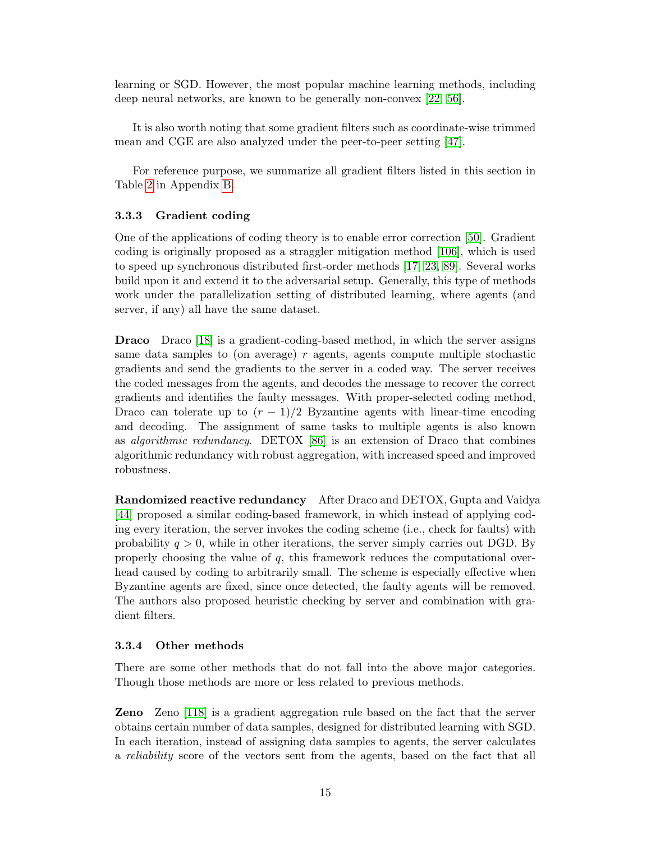learning or SGD. However, the most popular machine learning methods, including deep neural networks, are known to be generally non-convex [\[22,](#page-25-8) [56\]](#page-28-5).

It is also worth noting that some gradient filters such as coordinate-wise trimmed mean and CGE are also analyzed under the peer-to-peer setting [\[47\]](#page-27-6).

For reference purpose, we summarize all gradient filters listed in this section in Table [2](#page-34-0) in Appendix [B.](#page-33-3)

#### <span id="page-16-0"></span>3.3.3 Gradient coding

One of the applications of coding theory is to enable error correction [\[50\]](#page-27-7). Gradient coding is originally proposed as a straggler mitigation method [\[106\]](#page-31-8), which is used to speed up synchronous distributed first-order methods [\[17,](#page-25-9) [23,](#page-25-10) [89\]](#page-30-5). Several works build upon it and extend it to the adversarial setup. Generally, this type of methods work under the parallelization setting of distributed learning, where agents (and server, if any) all have the same dataset.

Draco Draco [\[18\]](#page-25-4) is a gradient-coding-based method, in which the server assigns same data samples to (on average) r agents, agents compute multiple stochastic gradients and send the gradients to the server in a coded way. The server receives the coded messages from the agents, and decodes the message to recover the correct gradients and identifies the faulty messages. With proper-selected coding method, Draco can tolerate up to  $(r-1)/2$  Byzantine agents with linear-time encoding and decoding. The assignment of same tasks to multiple agents is also known as algorithmic redundancy. DETOX [\[86\]](#page-30-2) is an extension of Draco that combines algorithmic redundancy with robust aggregation, with increased speed and improved robustness.

Randomized reactive redundancy After Draco and DETOX, Gupta and Vaidya [\[44\]](#page-27-8) proposed a similar coding-based framework, in which instead of applying coding every iteration, the server invokes the coding scheme (i.e., check for faults) with probability  $q > 0$ , while in other iterations, the server simply carries out DGD. By properly choosing the value of  $q$ , this framework reduces the computational overhead caused by coding to arbitrarily small. The scheme is especially effective when Byzantine agents are fixed, since once detected, the faulty agents will be removed. The authors also proposed heuristic checking by server and combination with gradient filters.

#### <span id="page-16-1"></span>3.3.4 Other methods

There are some other methods that do not fall into the above major categories. Though those methods are more or less related to previous methods.

Zeno Zeno [\[118\]](#page-32-7) is a gradient aggregation rule based on the fact that the server obtains certain number of data samples, designed for distributed learning with SGD. In each iteration, instead of assigning data samples to agents, the server calculates a reliability score of the vectors sent from the agents, based on the fact that all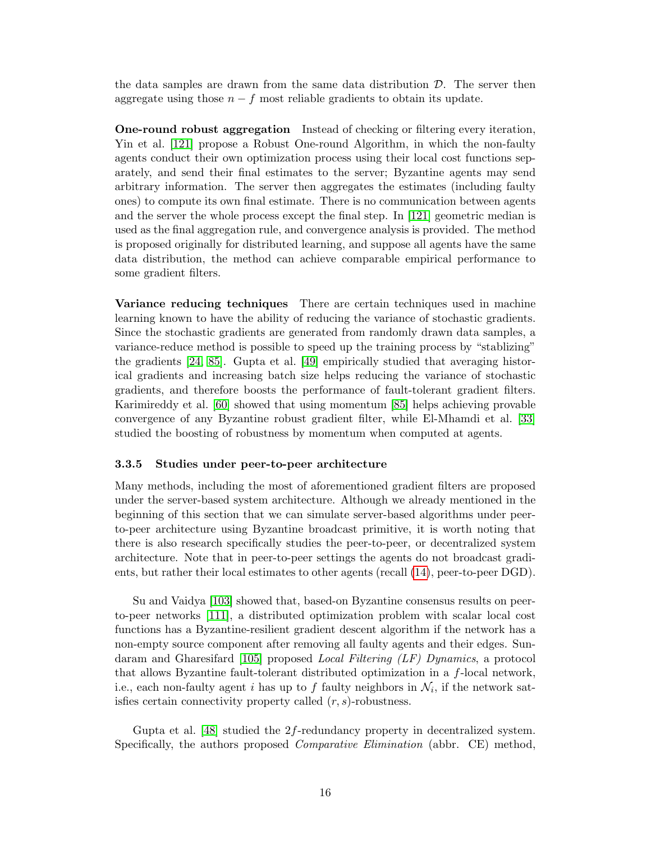the data samples are drawn from the same data distribution  $\mathcal{D}$ . The server then aggregate using those  $n - f$  most reliable gradients to obtain its update.

One-round robust aggregation Instead of checking or filtering every iteration, Yin et al. [\[121\]](#page-32-4) propose a Robust One-round Algorithm, in which the non-faulty agents conduct their own optimization process using their local cost functions separately, and send their final estimates to the server; Byzantine agents may send arbitrary information. The server then aggregates the estimates (including faulty ones) to compute its own final estimate. There is no communication between agents and the server the whole process except the final step. In [\[121\]](#page-32-4) geometric median is used as the final aggregation rule, and convergence analysis is provided. The method is proposed originally for distributed learning, and suppose all agents have the same data distribution, the method can achieve comparable empirical performance to some gradient filters.

Variance reducing techniques There are certain techniques used in machine learning known to have the ability of reducing the variance of stochastic gradients. Since the stochastic gradients are generated from randomly drawn data samples, a variance-reduce method is possible to speed up the training process by "stablizing" the gradients [\[24,](#page-25-11) [85\]](#page-30-6). Gupta et al. [\[49\]](#page-27-2) empirically studied that averaging historical gradients and increasing batch size helps reducing the variance of stochastic gradients, and therefore boosts the performance of fault-tolerant gradient filters. Karimireddy et al. [\[60\]](#page-28-6) showed that using momentum [\[85\]](#page-30-6) helps achieving provable convergence of any Byzantine robust gradient filter, while El-Mhamdi et al. [\[33\]](#page-26-7) studied the boosting of robustness by momentum when computed at agents.

#### <span id="page-17-0"></span>3.3.5 Studies under peer-to-peer architecture

Many methods, including the most of aforementioned gradient filters are proposed under the server-based system architecture. Although we already mentioned in the beginning of this section that we can simulate server-based algorithms under peerto-peer architecture using Byzantine broadcast primitive, it is worth noting that there is also research specifically studies the peer-to-peer, or decentralized system architecture. Note that in peer-to-peer settings the agents do not broadcast gradients, but rather their local estimates to other agents (recall [\(14\)](#page-11-3), peer-to-peer DGD).

Su and Vaidya [\[103\]](#page-31-5) showed that, based-on Byzantine consensus results on peerto-peer networks [\[111\]](#page-32-8), a distributed optimization problem with scalar local cost functions has a Byzantine-resilient gradient descent algorithm if the network has a non-empty source component after removing all faulty agents and their edges. Sundaram and Gharesifard [\[105\]](#page-31-4) proposed Local Filtering (LF) Dynamics, a protocol that allows Byzantine fault-tolerant distributed optimization in a f-local network, i.e., each non-faulty agent *i* has up to f faulty neighbors in  $\mathcal{N}_i$ , if the network satisfies certain connectivity property called  $(r, s)$ -robustness.

Gupta et al. [\[48\]](#page-27-9) studied the 2f-redundancy property in decentralized system. Specifically, the authors proposed *Comparative Elimination* (abbr. CE) method,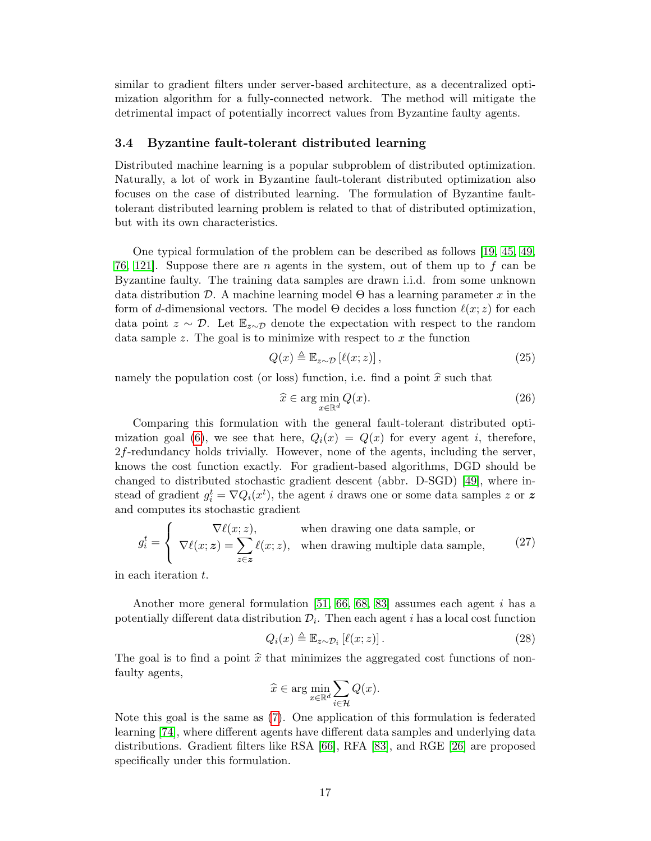similar to gradient filters under server-based architecture, as a decentralized optimization algorithm for a fully-connected network. The method will mitigate the detrimental impact of potentially incorrect values from Byzantine faulty agents.

#### <span id="page-18-0"></span>3.4 Byzantine fault-tolerant distributed learning

Distributed machine learning is a popular subproblem of distributed optimization. Naturally, a lot of work in Byzantine fault-tolerant distributed optimization also focuses on the case of distributed learning. The formulation of Byzantine faulttolerant distributed learning problem is related to that of distributed optimization, but with its own characteristics.

One typical formulation of the problem can be described as follows [\[19,](#page-25-5) [45,](#page-27-1) [49,](#page-27-2) [76,](#page-29-10) 121. Suppose there are n agents in the system, out of them up to f can be Byzantine faulty. The training data samples are drawn i.i.d. from some unknown data distribution D. A machine learning model  $\Theta$  has a learning parameter x in the form of d-dimensional vectors. The model  $\Theta$  decides a loss function  $\ell(x; z)$  for each data point  $z \sim \mathcal{D}$ . Let  $\mathbb{E}_{z \sim \mathcal{D}}$  denote the expectation with respect to the random data sample  $z$ . The goal is to minimize with respect to  $x$  the function

$$
Q(x) \triangleq \mathbb{E}_{z \sim \mathcal{D}}\left[\ell(x; z)\right],\tag{25}
$$

namely the population cost (or loss) function, i.e. find a point  $\hat{x}$  such that

$$
\widehat{x} \in \arg\min_{x \in \mathbb{R}^d} Q(x). \tag{26}
$$

Comparing this formulation with the general fault-tolerant distributed opti-mization goal [\(6\)](#page-7-1), we see that here,  $Q_i(x) = Q(x)$  for every agent i, therefore, 2f-redundancy holds trivially. However, none of the agents, including the server, knows the cost function exactly. For gradient-based algorithms, DGD should be changed to distributed stochastic gradient descent (abbr. D-SGD) [\[49\]](#page-27-2), where instead of gradient  $g_i^t = \nabla Q_i(x^t)$ , the agent *i* draws one or some data samples z or z and computes its stochastic gradient

$$
g_i^t = \begin{cases} \nabla \ell(x; z), & \text{when drawing one data sample, or} \\ \nabla \ell(x; z) = \sum_{z \in z} \ell(x; z), & \text{when drawing multiple data sample,} \n\end{cases} \tag{27}
$$

in each iteration t.

Another more general formulation [\[51,](#page-27-10) [66,](#page-28-7) [68,](#page-29-6) [83\]](#page-30-7) assumes each agent i has a potentially different data distribution  $\mathcal{D}_i$ . Then each agent i has a local cost function

$$
Q_i(x) \triangleq \mathbb{E}_{z \sim \mathcal{D}_i} \left[ \ell(x; z) \right]. \tag{28}
$$

The goal is to find a point  $\hat{x}$  that minimizes the aggregated cost functions of nonfaulty agents,

$$
\widehat{x} \in \arg\min_{x \in \mathbb{R}^d} \sum_{i \in \mathcal{H}} Q(x).
$$

Note this goal is the same as [\(7\)](#page-7-2). One application of this formulation is federated learning [\[74\]](#page-29-11), where different agents have different data samples and underlying data distributions. Gradient filters like RSA [\[66\]](#page-28-7), RFA [\[83\]](#page-30-7), and RGE [\[26\]](#page-25-12) are proposed specifically under this formulation.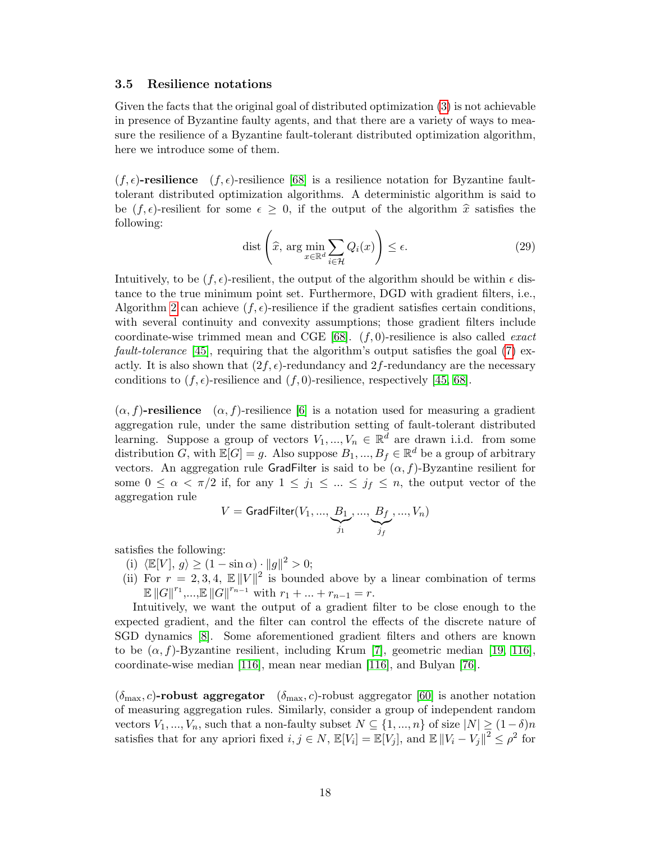#### <span id="page-19-0"></span>3.5 Resilience notations

Given the facts that the original goal of distributed optimization [\(3\)](#page-7-3) is not achievable in presence of Byzantine faulty agents, and that there are a variety of ways to measure the resilience of a Byzantine fault-tolerant distributed optimization algorithm, here we introduce some of them.

 $(f, \epsilon)$ -resilience  $(f, \epsilon)$ -resilience [\[68\]](#page-29-6) is a resilience notation for Byzantine faulttolerant distributed optimization algorithms. A deterministic algorithm is said to be  $(f, \epsilon)$ -resilient for some  $\epsilon \geq 0$ , if the output of the algorithm  $\hat{x}$  satisfies the following:

$$
\text{dist}\left(\widehat{x}, \, \arg\min_{x \in \mathbb{R}^d} \sum_{i \in \mathcal{H}} Q_i(x)\right) \le \epsilon. \tag{29}
$$

Intuitively, to be  $(f, \epsilon)$ -resilient, the output of the algorithm should be within  $\epsilon$  distance to the true minimum point set. Furthermore, DGD with gradient filters, i.e., Algorithm [2](#page-13-1) can achieve  $(f, \epsilon)$ -resilience if the gradient satisfies certain conditions, with several continuity and convexity assumptions; those gradient filters include coordinate-wise trimmed mean and CGE [\[68\]](#page-29-6).  $(f, 0)$ -resilience is also called *exact fault-tolerance* [\[45\]](#page-27-1), requiring that the algorithm's output satisfies the goal  $(7)$  exactly. It is also shown that  $(2f, \epsilon)$ -redundancy and  $2f$ -redundancy are the necessary conditions to  $(f, \epsilon)$ -resilience and  $(f, 0)$ -resilience, respectively [\[45,](#page-27-1) [68\]](#page-29-6).

 $(\alpha, f)$ -resilience  $(\alpha, f)$ -resilience [\[6\]](#page-24-2) is a notation used for measuring a gradient aggregation rule, under the same distribution setting of fault-tolerant distributed learning. Suppose a group of vectors  $V_1, ..., V_n \in \mathbb{R}^d$  are drawn i.i.d. from some distribution G, with  $\mathbb{E}[G] = g$ . Also suppose  $B_1, ..., B_f \in \mathbb{R}^d$  be a group of arbitrary vectors. An aggregation rule GradFilter is said to be  $(\alpha, f)$ -Byzantine resilient for some  $0 \leq \alpha < \pi/2$  if, for any  $1 \leq j_1 \leq \ldots \leq j_f \leq n$ , the output vector of the aggregation rule

$$
V = \textsf{GradFilter}(V_1, ..., \underbrace{B_1}_{j_1}, ..., \underbrace{B_f}_{j_f}, ..., V_n)
$$

satisfies the following:

- (i)  $\langle \mathbb{E}[V], g \rangle \ge (1 \sin \alpha) \cdot ||g||^2 > 0;$
- (ii) For  $r = 2, 3, 4$ ,  $\mathbb{E} ||V||^2$  is bounded above by a linear combination of terms  $\mathbb{E} ||G||^{r_1},...,\mathbb{E} ||G||^{r_{n-1}}$  with  $r_1 + ... + r_{n-1} = r$ .

Intuitively, we want the output of a gradient filter to be close enough to the expected gradient, and the filter can control the effects of the discrete nature of SGD dynamics [\[8\]](#page-24-6). Some aforementioned gradient filters and others are known to be  $(\alpha, f)$ -Byzantine resilient, including Krum [\[7\]](#page-24-5), geometric median [\[19,](#page-25-5) [116\]](#page-32-6), coordinate-wise median [\[116\]](#page-32-6), mean near median [\[116\]](#page-32-6), and Bulyan [\[76\]](#page-29-10).

 $(\delta_{\text{max}}, c)$ -robust aggregator  $(\delta_{\text{max}}, c)$ -robust aggregator [\[60\]](#page-28-6) is another notation of measuring aggregation rules. Similarly, consider a group of independent random vectors  $V_1, ..., V_n$ , such that a non-faulty subset  $N \subseteq \{1, ..., n\}$  of size  $|N| \geq (1-\delta)n$ satisfies that for any apriori fixed  $i, j \in N$ ,  $\mathbb{E}[V_i] = \mathbb{E}[V_j]$ , and  $\mathbb{E} ||V_i - V_j||^2 \leq \rho^2$  for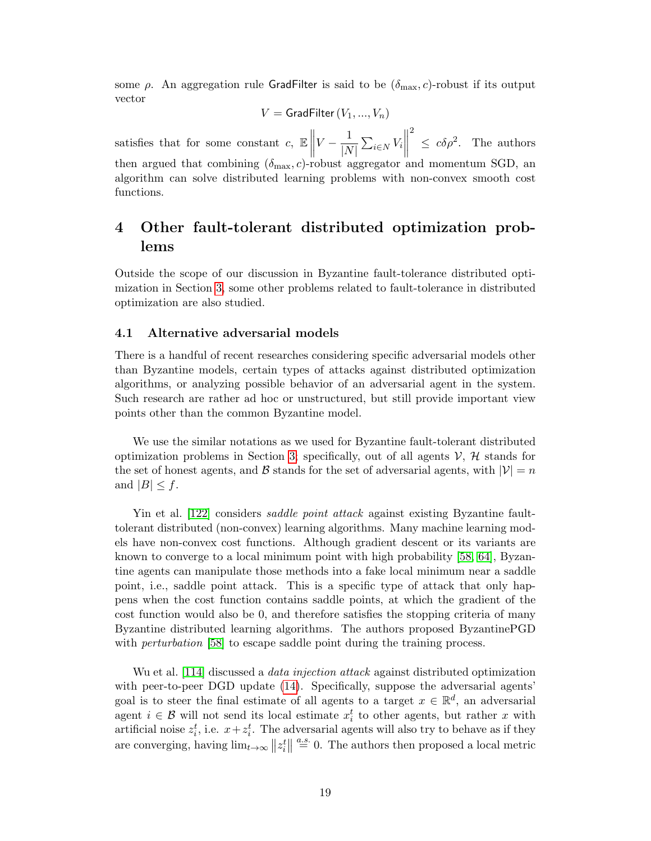some  $\rho$ . An aggregation rule GradFilter is said to be  $(\delta_{\text{max}}, c)$ -robust if its output vector

$$
V = \mathsf{GradFilter}\left(V_1, ..., V_n\right)
$$

satisfies that for some constant  $c, \mathbb{E}$  $V-\frac{1}{12}$  $\frac{1}{|N|}\sum_{i\in N} V_i$  2  $\leq c \delta \rho^2$ . The authors then argued that combining  $(\delta_{\text{max}}, c)$ -robust aggregator and momentum SGD, an algorithm can solve distributed learning problems with non-convex smooth cost functions.

## <span id="page-20-0"></span>4 Other fault-tolerant distributed optimization problems

Outside the scope of our discussion in Byzantine fault-tolerance distributed optimization in Section [3,](#page-5-1) some other problems related to fault-tolerance in distributed optimization are also studied.

#### <span id="page-20-1"></span>4.1 Alternative adversarial models

There is a handful of recent researches considering specific adversarial models other than Byzantine models, certain types of attacks against distributed optimization algorithms, or analyzing possible behavior of an adversarial agent in the system. Such research are rather ad hoc or unstructured, but still provide important view points other than the common Byzantine model.

We use the similar notations as we used for Byzantine fault-tolerant distributed optimization problems in Section [3;](#page-5-1) specifically, out of all agents  $\mathcal{V}, \mathcal{H}$  stands for the set of honest agents, and B stands for the set of adversarial agents, with  $|\mathcal{V}| = n$ and  $|B| \leq f$ .

Yin et al. [\[122\]](#page-32-9) considers *saddle point attack* against existing Byzantine faulttolerant distributed (non-convex) learning algorithms. Many machine learning models have non-convex cost functions. Although gradient descent or its variants are known to converge to a local minimum point with high probability [\[58,](#page-28-8) [64\]](#page-28-9), Byzantine agents can manipulate those methods into a fake local minimum near a saddle point, i.e., saddle point attack. This is a specific type of attack that only happens when the cost function contains saddle points, at which the gradient of the cost function would also be 0, and therefore satisfies the stopping criteria of many Byzantine distributed learning algorithms. The authors proposed ByzantinePGD with *perturbation* [\[58\]](#page-28-8) to escape saddle point during the training process.

Wu et al. [\[114\]](#page-32-10) discussed a *data injection attack* against distributed optimization with peer-to-peer DGD update [\(14\)](#page-11-3). Specifically, suppose the adversarial agents' goal is to steer the final estimate of all agents to a target  $x \in \mathbb{R}^d$ , an adversarial agent  $i \in \mathcal{B}$  will not send its local estimate  $x_i^t$  to other agents, but rather x with artificial noise  $z_i^t$ , i.e.  $x + z_i^t$ . The adversarial agents will also try to behave as if they are converging, having  $\lim_{t\to\infty} ||z_i^t|| \stackrel{a.s.}{=} 0$ . The authors then proposed a local metric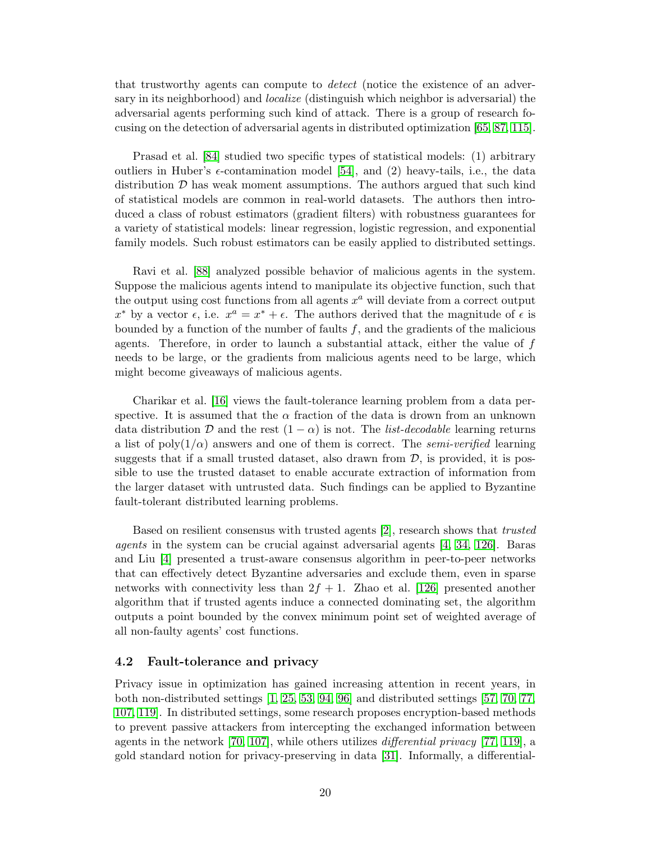that trustworthy agents can compute to detect (notice the existence of an adversary in its neighborhood) and *localize* (distinguish which neighbor is adversarial) the adversarial agents performing such kind of attack. There is a group of research focusing on the detection of adversarial agents in distributed optimization [\[65,](#page-28-10) [87,](#page-30-8) [115\]](#page-32-11).

Prasad et al. [\[84\]](#page-30-9) studied two specific types of statistical models: (1) arbitrary outliers in Huber's  $\epsilon$ -contamination model [\[54\]](#page-27-11), and (2) heavy-tails, i.e., the data distribution  $D$  has weak moment assumptions. The authors argued that such kind of statistical models are common in real-world datasets. The authors then introduced a class of robust estimators (gradient filters) with robustness guarantees for a variety of statistical models: linear regression, logistic regression, and exponential family models. Such robust estimators can be easily applied to distributed settings.

Ravi et al. [\[88\]](#page-30-10) analyzed possible behavior of malicious agents in the system. Suppose the malicious agents intend to manipulate its objective function, such that the output using cost functions from all agents  $x^a$  will deviate from a correct output  $x^*$  by a vector  $\epsilon$ , i.e.  $x^a = x^* + \epsilon$ . The authors derived that the magnitude of  $\epsilon$  is bounded by a function of the number of faults  $f$ , and the gradients of the malicious agents. Therefore, in order to launch a substantial attack, either the value of  $f$ needs to be large, or the gradients from malicious agents need to be large, which might become giveaways of malicious agents.

Charikar et al. [\[16\]](#page-25-13) views the fault-tolerance learning problem from a data perspective. It is assumed that the  $\alpha$  fraction of the data is drown from an unknown data distribution D and the rest  $(1 - \alpha)$  is not. The *list-decodable* learning returns a list of poly( $1/\alpha$ ) answers and one of them is correct. The *semi-verified* learning suggests that if a small trusted dataset, also drawn from  $\mathcal{D}$ , is provided, it is possible to use the trusted dataset to enable accurate extraction of information from the larger dataset with untrusted data. Such findings can be applied to Byzantine fault-tolerant distributed learning problems.

Based on resilient consensus with trusted agents [\[2\]](#page-24-7), research shows that trusted agents in the system can be crucial against adversarial agents [\[4,](#page-24-8) [34,](#page-26-8) [126\]](#page-33-6). Baras and Liu [\[4\]](#page-24-8) presented a trust-aware consensus algorithm in peer-to-peer networks that can effectively detect Byzantine adversaries and exclude them, even in sparse networks with connectivity less than  $2f + 1$ . Zhao et al. [\[126\]](#page-33-6) presented another algorithm that if trusted agents induce a connected dominating set, the algorithm outputs a point bounded by the convex minimum point set of weighted average of all non-faulty agents' cost functions.

#### <span id="page-21-0"></span>4.2 Fault-tolerance and privacy

Privacy issue in optimization has gained increasing attention in recent years, in both non-distributed settings [\[1,](#page-24-9) [25,](#page-25-14) [53,](#page-27-12) [94,](#page-30-11) [96\]](#page-31-9) and distributed settings [\[57,](#page-28-11) [70,](#page-29-12) [77,](#page-29-13) [107,](#page-31-10) [119\]](#page-32-12). In distributed settings, some research proposes encryption-based methods to prevent passive attackers from intercepting the exchanged information between agents in the network [\[70,](#page-29-12) [107\]](#page-31-10), while others utilizes differential privacy [\[77,](#page-29-13) [119\]](#page-32-12), a gold standard notion for privacy-preserving in data [\[31\]](#page-26-9). Informally, a differential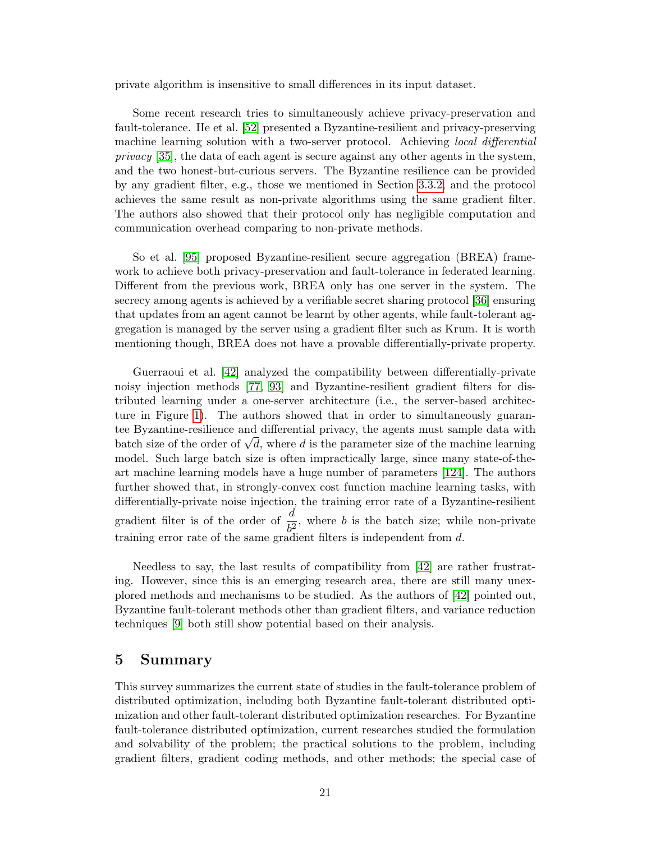private algorithm is insensitive to small differences in its input dataset.

Some recent research tries to simultaneously achieve privacy-preservation and fault-tolerance. He et al. [\[52\]](#page-27-13) presented a Byzantine-resilient and privacy-preserving machine learning solution with a two-server protocol. Achieving *local differential* privacy [\[35\]](#page-26-10), the data of each agent is secure against any other agents in the system, and the two honest-but-curious servers. The Byzantine resilience can be provided by any gradient filter, e.g., those we mentioned in Section [3.3.2,](#page-11-0) and the protocol achieves the same result as non-private algorithms using the same gradient filter. The authors also showed that their protocol only has negligible computation and communication overhead comparing to non-private methods.

So et al. [\[95\]](#page-30-12) proposed Byzantine-resilient secure aggregation (BREA) framework to achieve both privacy-preservation and fault-tolerance in federated learning. Different from the previous work, BREA only has one server in the system. The secrecy among agents is achieved by a verifiable secret sharing protocol [\[36\]](#page-26-11) ensuring that updates from an agent cannot be learnt by other agents, while fault-tolerant aggregation is managed by the server using a gradient filter such as Krum. It is worth mentioning though, BREA does not have a provable differentially-private property.

Guerraoui et al. [\[42\]](#page-27-14) analyzed the compatibility between differentially-private noisy injection methods [\[77,](#page-29-13) [93\]](#page-30-13) and Byzantine-resilient gradient filters for distributed learning under a one-server architecture (i.e., the server-based architecture in Figure [1\)](#page-10-1). The authors showed that in order to simultaneously guarantee Byzantine-resilience and differential privacy, the agents must sample data with tee byzantine-resinence and differential privacy, the agents must sample data with<br>batch size of the order of  $\sqrt{d}$ , where d is the parameter size of the machine learning model. Such large batch size is often impractically large, since many state-of-theart machine learning models have a huge number of parameters [\[124\]](#page-33-7). The authors further showed that, in strongly-convex cost function machine learning tasks, with differentially-private noise injection, the training error rate of a Byzantine-resilient gradient filter is of the order of  $\frac{d}{b^2}$ , where b is the batch size; while non-private training error rate of the same gradient filters is independent from d.

Needless to say, the last results of compatibility from [\[42\]](#page-27-14) are rather frustrating. However, since this is an emerging research area, there are still many unexplored methods and mechanisms to be studied. As the authors of [\[42\]](#page-27-14) pointed out, Byzantine fault-tolerant methods other than gradient filters, and variance reduction techniques [\[9\]](#page-24-10) both still show potential based on their analysis.

## <span id="page-22-0"></span>5 Summary

This survey summarizes the current state of studies in the fault-tolerance problem of distributed optimization, including both Byzantine fault-tolerant distributed optimization and other fault-tolerant distributed optimization researches. For Byzantine fault-tolerance distributed optimization, current researches studied the formulation and solvability of the problem; the practical solutions to the problem, including gradient filters, gradient coding methods, and other methods; the special case of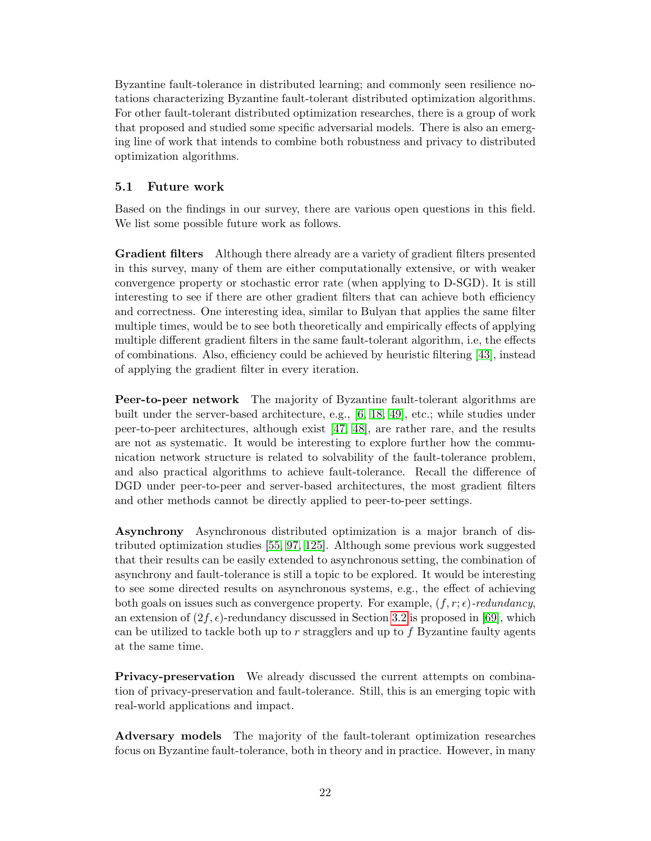Byzantine fault-tolerance in distributed learning; and commonly seen resilience notations characterizing Byzantine fault-tolerant distributed optimization algorithms. For other fault-tolerant distributed optimization researches, there is a group of work that proposed and studied some specific adversarial models. There is also an emerging line of work that intends to combine both robustness and privacy to distributed optimization algorithms.

#### <span id="page-23-0"></span>5.1 Future work

Based on the findings in our survey, there are various open questions in this field. We list some possible future work as follows.

Gradient filters Although there already are a variety of gradient filters presented in this survey, many of them are either computationally extensive, or with weaker convergence property or stochastic error rate (when applying to D-SGD). It is still interesting to see if there are other gradient filters that can achieve both efficiency and correctness. One interesting idea, similar to Bulyan that applies the same filter multiple times, would be to see both theoretically and empirically effects of applying multiple different gradient filters in the same fault-tolerant algorithm, i.e, the effects of combinations. Also, efficiency could be achieved by heuristic filtering [\[43\]](#page-27-5), instead of applying the gradient filter in every iteration.

Peer-to-peer network The majority of Byzantine fault-tolerant algorithms are built under the server-based architecture, e.g., [\[6,](#page-24-2) [18,](#page-25-4) [49\]](#page-27-2), etc.; while studies under peer-to-peer architectures, although exist [\[47,](#page-27-6) [48\]](#page-27-9), are rather rare, and the results are not as systematic. It would be interesting to explore further how the communication network structure is related to solvability of the fault-tolerance problem, and also practical algorithms to achieve fault-tolerance. Recall the difference of DGD under peer-to-peer and server-based architectures, the most gradient filters and other methods cannot be directly applied to peer-to-peer settings.

Asynchrony Asynchronous distributed optimization is a major branch of distributed optimization studies [\[55,](#page-28-12) [97,](#page-31-11) [125\]](#page-33-8). Although some previous work suggested that their results can be easily extended to asynchronous setting, the combination of asynchrony and fault-tolerance is still a topic to be explored. It would be interesting to see some directed results on asynchronous systems, e.g., the effect of achieving both goals on issues such as convergence property. For example,  $(f, r; \epsilon)$ -redundancy, an extension of  $(2f, \epsilon)$ -redundancy discussed in Section [3.2](#page-8-0) is proposed in [\[69\]](#page-29-0), which can be utilized to tackle both up to  $r$  stragglers and up to  $f$  Byzantine faulty agents at the same time.

Privacy-preservation We already discussed the current attempts on combination of privacy-preservation and fault-tolerance. Still, this is an emerging topic with real-world applications and impact.

Adversary models The majority of the fault-tolerant optimization researches focus on Byzantine fault-tolerance, both in theory and in practice. However, in many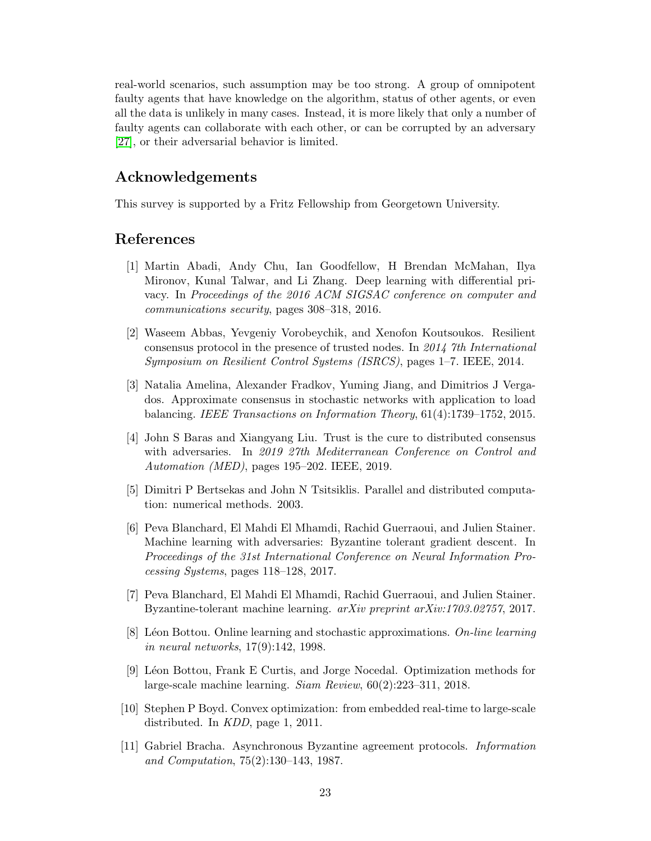real-world scenarios, such assumption may be too strong. A group of omnipotent faulty agents that have knowledge on the algorithm, status of other agents, or even all the data is unlikely in many cases. Instead, it is more likely that only a number of faulty agents can collaborate with each other, or can be corrupted by an adversary [\[27\]](#page-26-12), or their adversarial behavior is limited.

## Acknowledgements

This survey is supported by a Fritz Fellowship from Georgetown University.

## References

- <span id="page-24-9"></span>[1] Martin Abadi, Andy Chu, Ian Goodfellow, H Brendan McMahan, Ilya Mironov, Kunal Talwar, and Li Zhang. Deep learning with differential privacy. In Proceedings of the 2016 ACM SIGSAC conference on computer and communications security, pages 308–318, 2016.
- <span id="page-24-7"></span>[2] Waseem Abbas, Yevgeniy Vorobeychik, and Xenofon Koutsoukos. Resilient consensus protocol in the presence of trusted nodes. In 2014 7th International Symposium on Resilient Control Systems (ISRCS), pages 1–7. IEEE, 2014.
- <span id="page-24-3"></span>[3] Natalia Amelina, Alexander Fradkov, Yuming Jiang, and Dimitrios J Vergados. Approximate consensus in stochastic networks with application to load balancing. IEEE Transactions on Information Theory, 61(4):1739–1752, 2015.
- <span id="page-24-8"></span>[4] John S Baras and Xiangyang Liu. Trust is the cure to distributed consensus with adversaries. In 2019 27th Mediterranean Conference on Control and Automation (MED), pages 195–202. IEEE, 2019.
- <span id="page-24-1"></span>[5] Dimitri P Bertsekas and John N Tsitsiklis. Parallel and distributed computation: numerical methods. 2003.
- <span id="page-24-2"></span>[6] Peva Blanchard, El Mahdi El Mhamdi, Rachid Guerraoui, and Julien Stainer. Machine learning with adversaries: Byzantine tolerant gradient descent. In Proceedings of the 31st International Conference on Neural Information Processing Systems, pages 118–128, 2017.
- <span id="page-24-5"></span>[7] Peva Blanchard, El Mahdi El Mhamdi, Rachid Guerraoui, and Julien Stainer. Byzantine-tolerant machine learning. arXiv preprint arXiv:1703.02757, 2017.
- <span id="page-24-6"></span>[8] Léon Bottou. Online learning and stochastic approximations. On-line learning in neural networks, 17(9):142, 1998.
- <span id="page-24-10"></span>[9] L´eon Bottou, Frank E Curtis, and Jorge Nocedal. Optimization methods for large-scale machine learning. Siam Review, 60(2):223–311, 2018.
- <span id="page-24-0"></span>[10] Stephen P Boyd. Convex optimization: from embedded real-time to large-scale distributed. In KDD, page 1, 2011.
- <span id="page-24-4"></span>[11] Gabriel Bracha. Asynchronous Byzantine agreement protocols. Information and Computation, 75(2):130–143, 1987.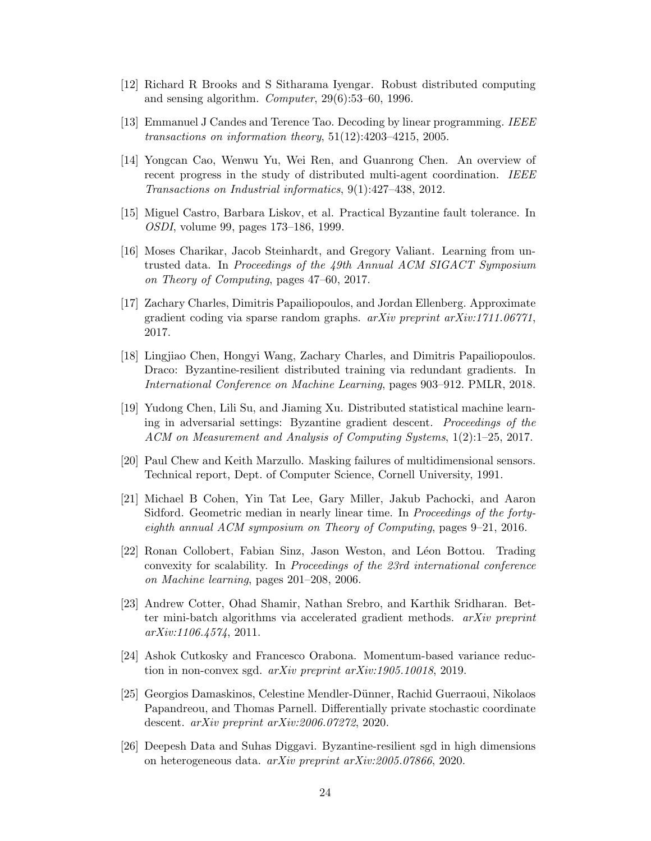- <span id="page-25-1"></span>[12] Richard R Brooks and S Sitharama Iyengar. Robust distributed computing and sensing algorithm. Computer, 29(6):53–60, 1996.
- <span id="page-25-6"></span>[13] Emmanuel J Candes and Terence Tao. Decoding by linear programming. IEEE transactions on information theory, 51(12):4203–4215, 2005.
- <span id="page-25-0"></span>[14] Yongcan Cao, Wenwu Yu, Wei Ren, and Guanrong Chen. An overview of recent progress in the study of distributed multi-agent coordination. IEEE Transactions on Industrial informatics, 9(1):427–438, 2012.
- <span id="page-25-2"></span>[15] Miguel Castro, Barbara Liskov, et al. Practical Byzantine fault tolerance. In OSDI, volume 99, pages 173–186, 1999.
- <span id="page-25-13"></span>[16] Moses Charikar, Jacob Steinhardt, and Gregory Valiant. Learning from untrusted data. In Proceedings of the 49th Annual ACM SIGACT Symposium on Theory of Computing, pages 47–60, 2017.
- <span id="page-25-9"></span>[17] Zachary Charles, Dimitris Papailiopoulos, and Jordan Ellenberg. Approximate gradient coding via sparse random graphs.  $arXiv$  preprint  $arXiv:1711.06771$ , 2017.
- <span id="page-25-4"></span>[18] Lingjiao Chen, Hongyi Wang, Zachary Charles, and Dimitris Papailiopoulos. Draco: Byzantine-resilient distributed training via redundant gradients. In International Conference on Machine Learning, pages 903–912. PMLR, 2018.
- <span id="page-25-5"></span>[19] Yudong Chen, Lili Su, and Jiaming Xu. Distributed statistical machine learning in adversarial settings: Byzantine gradient descent. Proceedings of the ACM on Measurement and Analysis of Computing Systems, 1(2):1–25, 2017.
- <span id="page-25-3"></span>[20] Paul Chew and Keith Marzullo. Masking failures of multidimensional sensors. Technical report, Dept. of Computer Science, Cornell University, 1991.
- <span id="page-25-7"></span>[21] Michael B Cohen, Yin Tat Lee, Gary Miller, Jakub Pachocki, and Aaron Sidford. Geometric median in nearly linear time. In Proceedings of the fortyeighth annual ACM symposium on Theory of Computing, pages 9–21, 2016.
- <span id="page-25-8"></span>[22] Ronan Collobert, Fabian Sinz, Jason Weston, and L´eon Bottou. Trading convexity for scalability. In Proceedings of the 23rd international conference on Machine learning, pages 201–208, 2006.
- <span id="page-25-10"></span>[23] Andrew Cotter, Ohad Shamir, Nathan Srebro, and Karthik Sridharan. Better mini-batch algorithms via accelerated gradient methods. arXiv preprint arXiv:1106.4574, 2011.
- <span id="page-25-11"></span>[24] Ashok Cutkosky and Francesco Orabona. Momentum-based variance reduction in non-convex sgd. arXiv preprint arXiv:1905.10018, 2019.
- <span id="page-25-14"></span>[25] Georgios Damaskinos, Celestine Mendler-Dünner, Rachid Guerraoui, Nikolaos Papandreou, and Thomas Parnell. Differentially private stochastic coordinate descent. arXiv preprint arXiv:2006.07272, 2020.
- <span id="page-25-12"></span>[26] Deepesh Data and Suhas Diggavi. Byzantine-resilient sgd in high dimensions on heterogeneous data. arXiv preprint arXiv:2005.07866, 2020.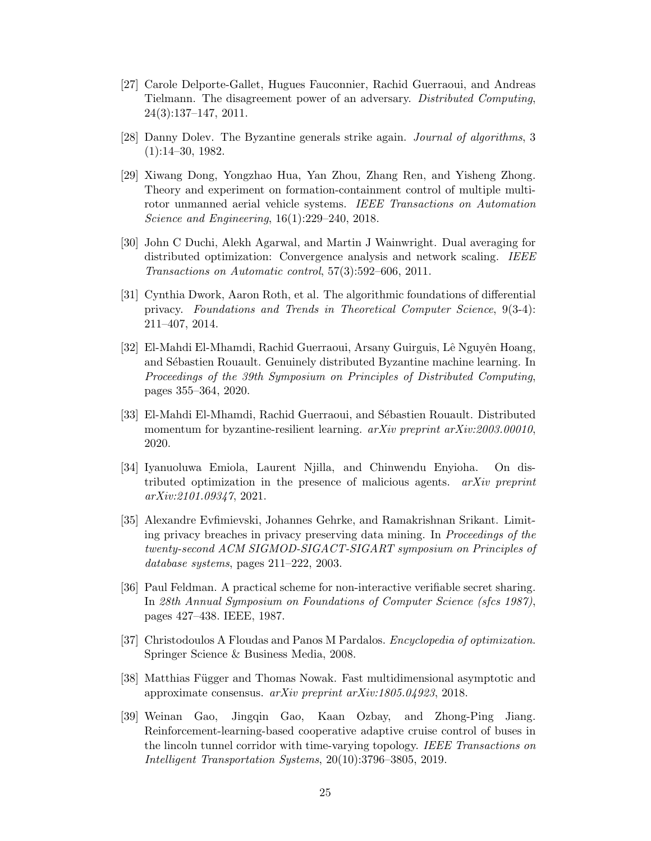- <span id="page-26-12"></span>[27] Carole Delporte-Gallet, Hugues Fauconnier, Rachid Guerraoui, and Andreas Tielmann. The disagreement power of an adversary. Distributed Computing, 24(3):137–147, 2011.
- <span id="page-26-4"></span>[28] Danny Dolev. The Byzantine generals strike again. Journal of algorithms, 3 (1):14–30, 1982.
- <span id="page-26-0"></span>[29] Xiwang Dong, Yongzhao Hua, Yan Zhou, Zhang Ren, and Yisheng Zhong. Theory and experiment on formation-containment control of multiple multirotor unmanned aerial vehicle systems. IEEE Transactions on Automation Science and Engineering, 16(1):229–240, 2018.
- <span id="page-26-2"></span>[30] John C Duchi, Alekh Agarwal, and Martin J Wainwright. Dual averaging for distributed optimization: Convergence analysis and network scaling. IEEE Transactions on Automatic control, 57(3):592–606, 2011.
- <span id="page-26-9"></span>[31] Cynthia Dwork, Aaron Roth, et al. The algorithmic foundations of differential privacy. Foundations and Trends in Theoretical Computer Science, 9(3-4): 211–407, 2014.
- <span id="page-26-6"></span>[32] El-Mahdi El-Mhamdi, Rachid Guerraoui, Arsany Guirguis, Lê Nguyên Hoang, and Sébastien Rouault. Genuinely distributed Byzantine machine learning. In Proceedings of the 39th Symposium on Principles of Distributed Computing, pages 355–364, 2020.
- <span id="page-26-7"></span>[33] El-Mahdi El-Mhamdi, Rachid Guerraoui, and Sébastien Rouault. Distributed momentum for byzantine-resilient learning. arXiv preprint arXiv:2003.00010, 2020.
- <span id="page-26-8"></span>[34] Iyanuoluwa Emiola, Laurent Njilla, and Chinwendu Enyioha. On distributed optimization in the presence of malicious agents. arXiv preprint arXiv:2101.09347, 2021.
- <span id="page-26-10"></span>[35] Alexandre Evfimievski, Johannes Gehrke, and Ramakrishnan Srikant. Limiting privacy breaches in privacy preserving data mining. In Proceedings of the twenty-second ACM SIGMOD-SIGACT-SIGART symposium on Principles of database systems, pages 211–222, 2003.
- <span id="page-26-11"></span>[36] Paul Feldman. A practical scheme for non-interactive verifiable secret sharing. In 28th Annual Symposium on Foundations of Computer Science (sfcs 1987), pages 427–438. IEEE, 1987.
- <span id="page-26-3"></span>[37] Christodoulos A Floudas and Panos M Pardalos. Encyclopedia of optimization. Springer Science & Business Media, 2008.
- <span id="page-26-5"></span>[38] Matthias Függer and Thomas Nowak. Fast multidimensional asymptotic and approximate consensus. arXiv preprint arXiv:1805.04923, 2018.
- <span id="page-26-1"></span>[39] Weinan Gao, Jingqin Gao, Kaan Ozbay, and Zhong-Ping Jiang. Reinforcement-learning-based cooperative adaptive cruise control of buses in the lincoln tunnel corridor with time-varying topology. IEEE Transactions on Intelligent Transportation Systems, 20(10):3796–3805, 2019.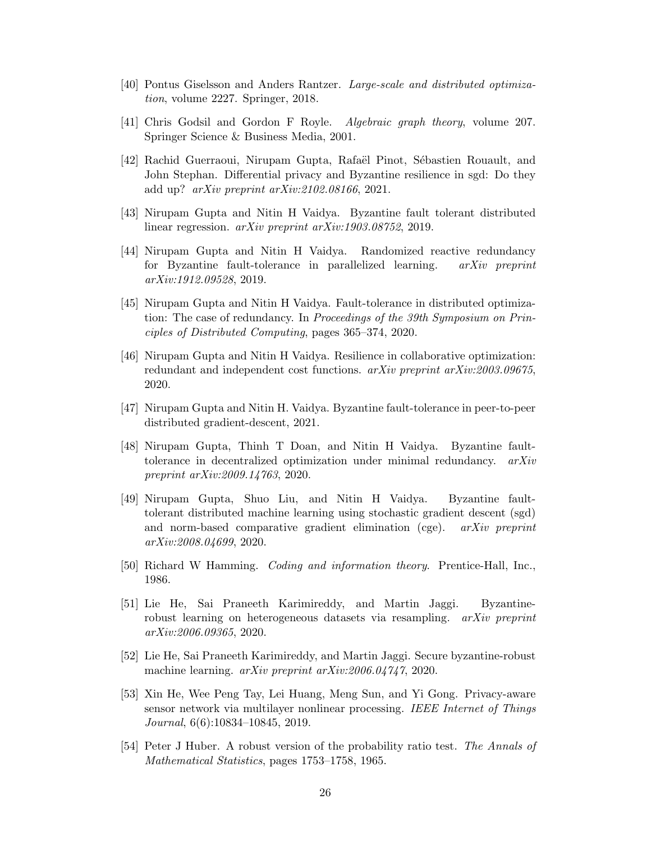- <span id="page-27-0"></span>[40] Pontus Giselsson and Anders Rantzer. Large-scale and distributed optimization, volume 2227. Springer, 2018.
- <span id="page-27-3"></span>[41] Chris Godsil and Gordon F Royle. Algebraic graph theory, volume 207. Springer Science & Business Media, 2001.
- <span id="page-27-14"></span>[42] Rachid Guerraoui, Nirupam Gupta, Rafaël Pinot, Sébastien Rouault, and John Stephan. Differential privacy and Byzantine resilience in sgd: Do they add up? arXiv preprint arXiv:2102.08166, 2021.
- <span id="page-27-5"></span>[43] Nirupam Gupta and Nitin H Vaidya. Byzantine fault tolerant distributed linear regression. arXiv preprint arXiv:1903.08752, 2019.
- <span id="page-27-8"></span>[44] Nirupam Gupta and Nitin H Vaidya. Randomized reactive redundancy for Byzantine fault-tolerance in parallelized learning. arXiv preprint arXiv:1912.09528, 2019.
- <span id="page-27-1"></span>[45] Nirupam Gupta and Nitin H Vaidya. Fault-tolerance in distributed optimization: The case of redundancy. In *Proceedings of the 39th Symposium on Prin*ciples of Distributed Computing, pages 365–374, 2020.
- <span id="page-27-4"></span>[46] Nirupam Gupta and Nitin H Vaidya. Resilience in collaborative optimization: redundant and independent cost functions. arXiv preprint arXiv:2003.09675, 2020.
- <span id="page-27-6"></span>[47] Nirupam Gupta and Nitin H. Vaidya. Byzantine fault-tolerance in peer-to-peer distributed gradient-descent, 2021.
- <span id="page-27-9"></span>[48] Nirupam Gupta, Thinh T Doan, and Nitin H Vaidya. Byzantine faulttolerance in decentralized optimization under minimal redundancy.  $arXiv$ preprint arXiv:2009.14763, 2020.
- <span id="page-27-2"></span>[49] Nirupam Gupta, Shuo Liu, and Nitin H Vaidya. Byzantine faulttolerant distributed machine learning using stochastic gradient descent (sgd) and norm-based comparative gradient elimination (cge). arXiv preprint arXiv:2008.04699, 2020.
- <span id="page-27-7"></span>[50] Richard W Hamming. Coding and information theory. Prentice-Hall, Inc., 1986.
- <span id="page-27-10"></span>[51] Lie He, Sai Praneeth Karimireddy, and Martin Jaggi. Byzantinerobust learning on heterogeneous datasets via resampling. *arXiv preprint* arXiv:2006.09365, 2020.
- <span id="page-27-13"></span>[52] Lie He, Sai Praneeth Karimireddy, and Martin Jaggi. Secure byzantine-robust machine learning. arXiv preprint arXiv:2006.04747, 2020.
- <span id="page-27-12"></span>[53] Xin He, Wee Peng Tay, Lei Huang, Meng Sun, and Yi Gong. Privacy-aware sensor network via multilayer nonlinear processing. IEEE Internet of Things Journal, 6(6):10834–10845, 2019.
- <span id="page-27-11"></span>[54] Peter J Huber. A robust version of the probability ratio test. The Annals of Mathematical Statistics, pages 1753–1758, 1965.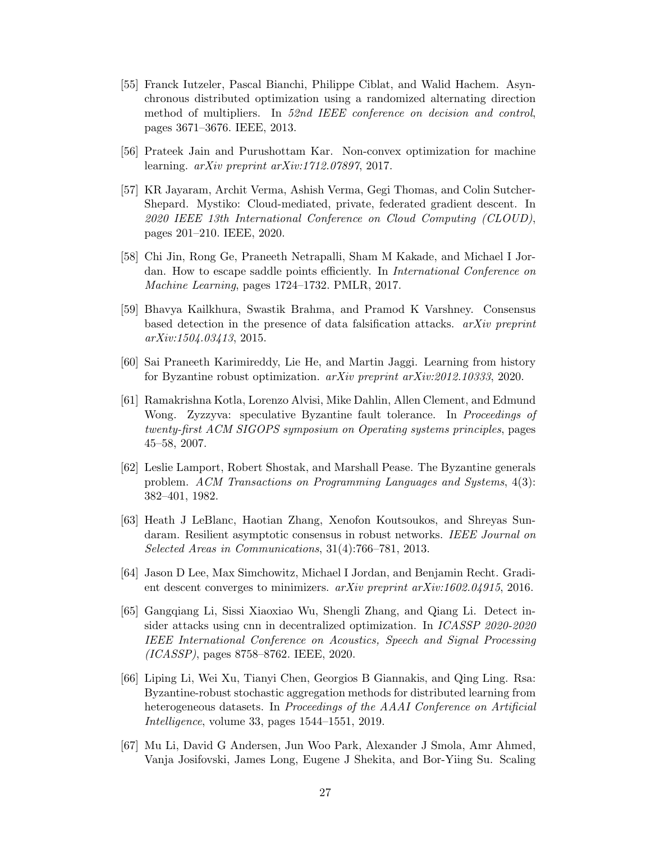- <span id="page-28-12"></span>[55] Franck Iutzeler, Pascal Bianchi, Philippe Ciblat, and Walid Hachem. Asynchronous distributed optimization using a randomized alternating direction method of multipliers. In 52nd IEEE conference on decision and control, pages 3671–3676. IEEE, 2013.
- <span id="page-28-5"></span>[56] Prateek Jain and Purushottam Kar. Non-convex optimization for machine learning. arXiv preprint arXiv:1712.07897, 2017.
- <span id="page-28-11"></span>[57] KR Jayaram, Archit Verma, Ashish Verma, Gegi Thomas, and Colin Sutcher-Shepard. Mystiko: Cloud-mediated, private, federated gradient descent. In 2020 IEEE 13th International Conference on Cloud Computing (CLOUD), pages 201–210. IEEE, 2020.
- <span id="page-28-8"></span>[58] Chi Jin, Rong Ge, Praneeth Netrapalli, Sham M Kakade, and Michael I Jordan. How to escape saddle points efficiently. In International Conference on Machine Learning, pages 1724–1732. PMLR, 2017.
- <span id="page-28-0"></span>[59] Bhavya Kailkhura, Swastik Brahma, and Pramod K Varshney. Consensus based detection in the presence of data falsification attacks. arXiv preprint arXiv:1504.03413, 2015.
- <span id="page-28-6"></span>[60] Sai Praneeth Karimireddy, Lie He, and Martin Jaggi. Learning from history for Byzantine robust optimization. arXiv preprint arXiv:2012.10333, 2020.
- <span id="page-28-1"></span>[61] Ramakrishna Kotla, Lorenzo Alvisi, Mike Dahlin, Allen Clement, and Edmund Wong. Zyzzyva: speculative Byzantine fault tolerance. In *Proceedings of* twenty-first ACM SIGOPS symposium on Operating systems principles, pages 45–58, 2007.
- <span id="page-28-2"></span>[62] Leslie Lamport, Robert Shostak, and Marshall Pease. The Byzantine generals problem. ACM Transactions on Programming Languages and Systems, 4(3): 382–401, 1982.
- <span id="page-28-3"></span>[63] Heath J LeBlanc, Haotian Zhang, Xenofon Koutsoukos, and Shreyas Sundaram. Resilient asymptotic consensus in robust networks. IEEE Journal on Selected Areas in Communications, 31(4):766–781, 2013.
- <span id="page-28-9"></span>[64] Jason D Lee, Max Simchowitz, Michael I Jordan, and Benjamin Recht. Gradient descent converges to minimizers. arXiv preprint arXiv:1602.04915, 2016.
- <span id="page-28-10"></span>[65] Gangqiang Li, Sissi Xiaoxiao Wu, Shengli Zhang, and Qiang Li. Detect insider attacks using cnn in decentralized optimization. In ICASSP 2020-2020 IEEE International Conference on Acoustics, Speech and Signal Processing (ICASSP), pages 8758–8762. IEEE, 2020.
- <span id="page-28-7"></span>[66] Liping Li, Wei Xu, Tianyi Chen, Georgios B Giannakis, and Qing Ling. Rsa: Byzantine-robust stochastic aggregation methods for distributed learning from heterogeneous datasets. In Proceedings of the AAAI Conference on Artificial Intelligence, volume 33, pages 1544–1551, 2019.
- <span id="page-28-4"></span>[67] Mu Li, David G Andersen, Jun Woo Park, Alexander J Smola, Amr Ahmed, Vanja Josifovski, James Long, Eugene J Shekita, and Bor-Yiing Su. Scaling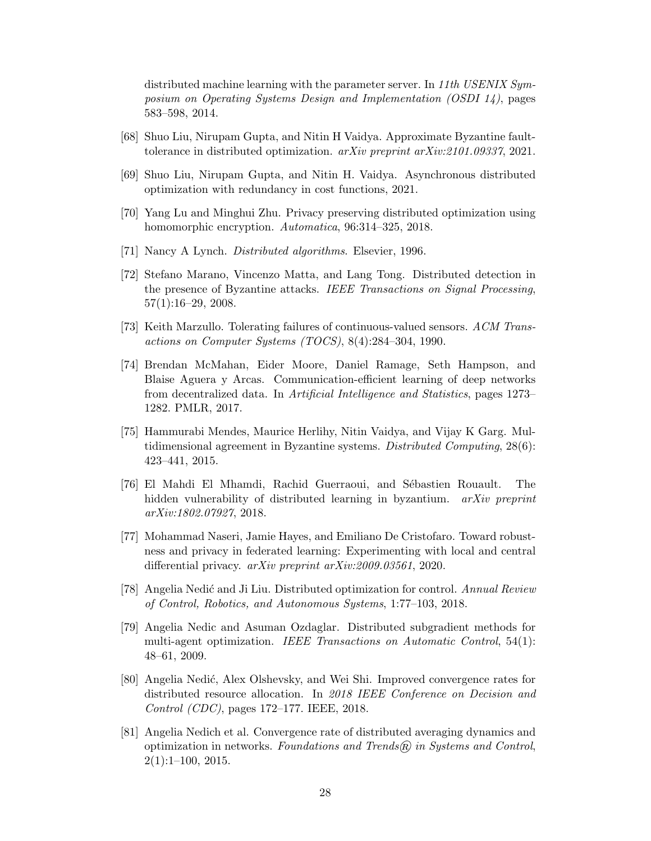distributed machine learning with the parameter server. In 11th USENIX Symposium on Operating Systems Design and Implementation (OSDI 14), pages 583–598, 2014.

- <span id="page-29-6"></span>[68] Shuo Liu, Nirupam Gupta, and Nitin H Vaidya. Approximate Byzantine faulttolerance in distributed optimization. arXiv preprint arXiv:2101.09337, 2021.
- <span id="page-29-0"></span>[69] Shuo Liu, Nirupam Gupta, and Nitin H. Vaidya. Asynchronous distributed optimization with redundancy in cost functions, 2021.
- <span id="page-29-12"></span>[70] Yang Lu and Minghui Zhu. Privacy preserving distributed optimization using homomorphic encryption. Automatica, 96:314-325, 2018.
- <span id="page-29-7"></span>[71] Nancy A Lynch. Distributed algorithms. Elsevier, 1996.
- <span id="page-29-2"></span>[72] Stefano Marano, Vincenzo Matta, and Lang Tong. Distributed detection in the presence of Byzantine attacks. IEEE Transactions on Signal Processing, 57(1):16–29, 2008.
- <span id="page-29-5"></span>[73] Keith Marzullo. Tolerating failures of continuous-valued sensors. ACM Transactions on Computer Systems (TOCS), 8(4):284–304, 1990.
- <span id="page-29-11"></span>[74] Brendan McMahan, Eider Moore, Daniel Ramage, Seth Hampson, and Blaise Aguera y Arcas. Communication-efficient learning of deep networks from decentralized data. In Artificial Intelligence and Statistics, pages 1273– 1282. PMLR, 2017.
- <span id="page-29-8"></span>[75] Hammurabi Mendes, Maurice Herlihy, Nitin Vaidya, and Vijay K Garg. Multidimensional agreement in Byzantine systems. Distributed Computing, 28(6): 423–441, 2015.
- <span id="page-29-10"></span>[76] El Mahdi El Mhamdi, Rachid Guerraoui, and Sébastien Rouault. The hidden vulnerability of distributed learning in byzantium. *arXiv preprint* arXiv:1802.07927, 2018.
- <span id="page-29-13"></span>[77] Mohammad Naseri, Jamie Hayes, and Emiliano De Cristofaro. Toward robustness and privacy in federated learning: Experimenting with local and central differential privacy. arXiv preprint arXiv:2009.03561, 2020.
- <span id="page-29-4"></span>[78] Angelia Nedić and Ji Liu. Distributed optimization for control. Annual Review of Control, Robotics, and Autonomous Systems, 1:77–103, 2018.
- <span id="page-29-9"></span>[79] Angelia Nedic and Asuman Ozdaglar. Distributed subgradient methods for multi-agent optimization. IEEE Transactions on Automatic Control, 54(1): 48–61, 2009.
- <span id="page-29-3"></span>[80] Angelia Nedi´c, Alex Olshevsky, and Wei Shi. Improved convergence rates for distributed resource allocation. In 2018 IEEE Conference on Decision and Control (CDC), pages 172–177. IEEE, 2018.
- <span id="page-29-1"></span>[81] Angelia Nedich et al. Convergence rate of distributed averaging dynamics and optimization in networks. Foundations and Trends $\widehat{R}$  in Systems and Control,  $2(1):1-100, 2015.$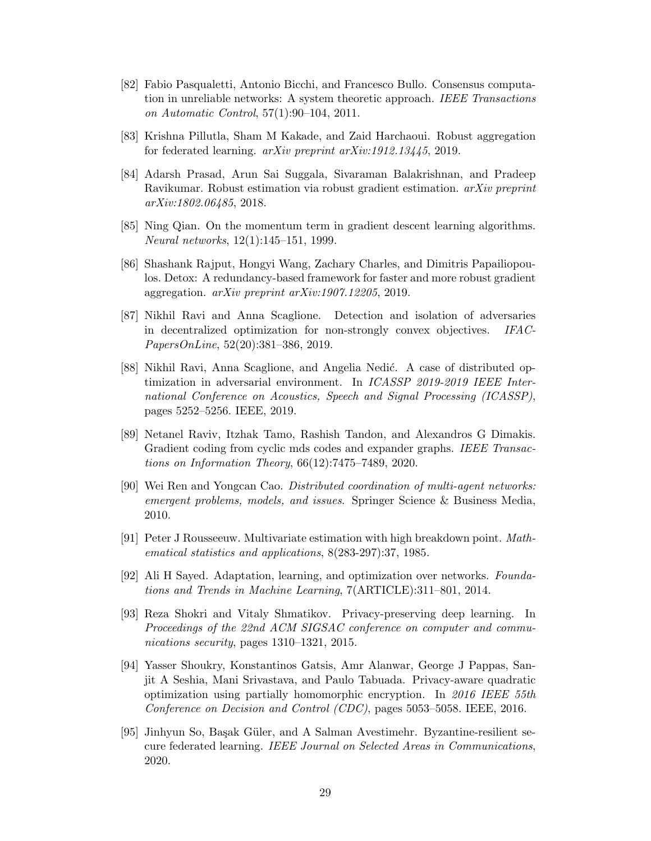- <span id="page-30-3"></span>[82] Fabio Pasqualetti, Antonio Bicchi, and Francesco Bullo. Consensus computation in unreliable networks: A system theoretic approach. IEEE Transactions on Automatic Control, 57(1):90–104, 2011.
- <span id="page-30-7"></span>[83] Krishna Pillutla, Sham M Kakade, and Zaid Harchaoui. Robust aggregation for federated learning. arXiv preprint arXiv:1912.13445, 2019.
- <span id="page-30-9"></span>[84] Adarsh Prasad, Arun Sai Suggala, Sivaraman Balakrishnan, and Pradeep Ravikumar. Robust estimation via robust gradient estimation. arXiv preprint arXiv:1802.06485, 2018.
- <span id="page-30-6"></span>[85] Ning Qian. On the momentum term in gradient descent learning algorithms. Neural networks, 12(1):145–151, 1999.
- <span id="page-30-2"></span>[86] Shashank Rajput, Hongyi Wang, Zachary Charles, and Dimitris Papailiopoulos. Detox: A redundancy-based framework for faster and more robust gradient aggregation. arXiv preprint arXiv:1907.12205, 2019.
- <span id="page-30-8"></span>[87] Nikhil Ravi and Anna Scaglione. Detection and isolation of adversaries in decentralized optimization for non-strongly convex objectives. IFAC-PapersOnLine, 52(20):381–386, 2019.
- <span id="page-30-10"></span>[88] Nikhil Ravi, Anna Scaglione, and Angelia Nedić. A case of distributed optimization in adversarial environment. In ICASSP 2019-2019 IEEE International Conference on Acoustics, Speech and Signal Processing (ICASSP), pages 5252–5256. IEEE, 2019.
- <span id="page-30-5"></span>[89] Netanel Raviv, Itzhak Tamo, Rashish Tandon, and Alexandros G Dimakis. Gradient coding from cyclic mds codes and expander graphs. IEEE Transactions on Information Theory, 66(12):7475–7489, 2020.
- <span id="page-30-0"></span>[90] Wei Ren and Yongcan Cao. Distributed coordination of multi-agent networks: emergent problems, models, and issues. Springer Science & Business Media, 2010.
- <span id="page-30-4"></span>[91] Peter J Rousseeuw. Multivariate estimation with high breakdown point. Mathematical statistics and applications, 8(283-297):37, 1985.
- <span id="page-30-1"></span>[92] Ali H Sayed. Adaptation, learning, and optimization over networks. Foundations and Trends in Machine Learning, 7(ARTICLE):311–801, 2014.
- <span id="page-30-13"></span>[93] Reza Shokri and Vitaly Shmatikov. Privacy-preserving deep learning. In Proceedings of the 22nd ACM SIGSAC conference on computer and communications security, pages 1310–1321, 2015.
- <span id="page-30-11"></span>[94] Yasser Shoukry, Konstantinos Gatsis, Amr Alanwar, George J Pappas, Sanjit A Seshia, Mani Srivastava, and Paulo Tabuada. Privacy-aware quadratic optimization using partially homomorphic encryption. In 2016 IEEE 55th Conference on Decision and Control (CDC), pages 5053–5058. IEEE, 2016.
- <span id="page-30-12"></span>[95] Jinhyun So, Başak Güler, and A Salman Avestimehr. Byzantine-resilient secure federated learning. IEEE Journal on Selected Areas in Communications, 2020.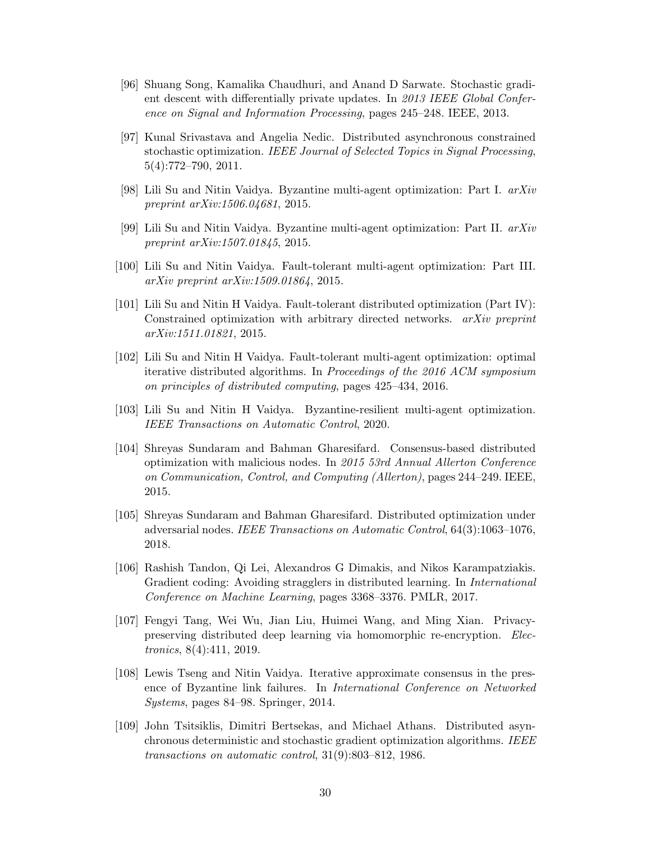- <span id="page-31-9"></span>[96] Shuang Song, Kamalika Chaudhuri, and Anand D Sarwate. Stochastic gradient descent with differentially private updates. In 2013 IEEE Global Conference on Signal and Information Processing, pages 245–248. IEEE, 2013.
- <span id="page-31-11"></span>[97] Kunal Srivastava and Angelia Nedic. Distributed asynchronous constrained stochastic optimization. IEEE Journal of Selected Topics in Signal Processing, 5(4):772–790, 2011.
- <span id="page-31-0"></span>[98] Lili Su and Nitin Vaidya. Byzantine multi-agent optimization: Part I. arXiv preprint arXiv:1506.04681, 2015.
- <span id="page-31-7"></span>[99] Lili Su and Nitin Vaidya. Byzantine multi-agent optimization: Part II. arXiv preprint arXiv:1507.01845, 2015.
- [100] Lili Su and Nitin Vaidya. Fault-tolerant multi-agent optimization: Part III. arXiv preprint arXiv:1509.01864, 2015.
- [101] Lili Su and Nitin H Vaidya. Fault-tolerant distributed optimization (Part IV): Constrained optimization with arbitrary directed networks. arXiv preprint arXiv:1511.01821, 2015.
- <span id="page-31-1"></span>[102] Lili Su and Nitin H Vaidya. Fault-tolerant multi-agent optimization: optimal iterative distributed algorithms. In Proceedings of the 2016 ACM symposium on principles of distributed computing, pages 425–434, 2016.
- <span id="page-31-5"></span>[103] Lili Su and Nitin H Vaidya. Byzantine-resilient multi-agent optimization. IEEE Transactions on Automatic Control, 2020.
- <span id="page-31-2"></span>[104] Shreyas Sundaram and Bahman Gharesifard. Consensus-based distributed optimization with malicious nodes. In 2015 53rd Annual Allerton Conference on Communication, Control, and Computing (Allerton), pages 244–249. IEEE, 2015.
- <span id="page-31-4"></span>[105] Shreyas Sundaram and Bahman Gharesifard. Distributed optimization under adversarial nodes. IEEE Transactions on Automatic Control, 64(3):1063–1076, 2018.
- <span id="page-31-8"></span>[106] Rashish Tandon, Qi Lei, Alexandros G Dimakis, and Nikos Karampatziakis. Gradient coding: Avoiding stragglers in distributed learning. In International Conference on Machine Learning, pages 3368–3376. PMLR, 2017.
- <span id="page-31-10"></span>[107] Fengyi Tang, Wei Wu, Jian Liu, Huimei Wang, and Ming Xian. Privacypreserving distributed deep learning via homomorphic re-encryption. Electronics, 8(4):411, 2019.
- <span id="page-31-6"></span>[108] Lewis Tseng and Nitin Vaidya. Iterative approximate consensus in the presence of Byzantine link failures. In International Conference on Networked Systems, pages 84–98. Springer, 2014.
- <span id="page-31-3"></span>[109] John Tsitsiklis, Dimitri Bertsekas, and Michael Athans. Distributed asynchronous deterministic and stochastic gradient optimization algorithms. IEEE transactions on automatic control, 31(9):803–812, 1986.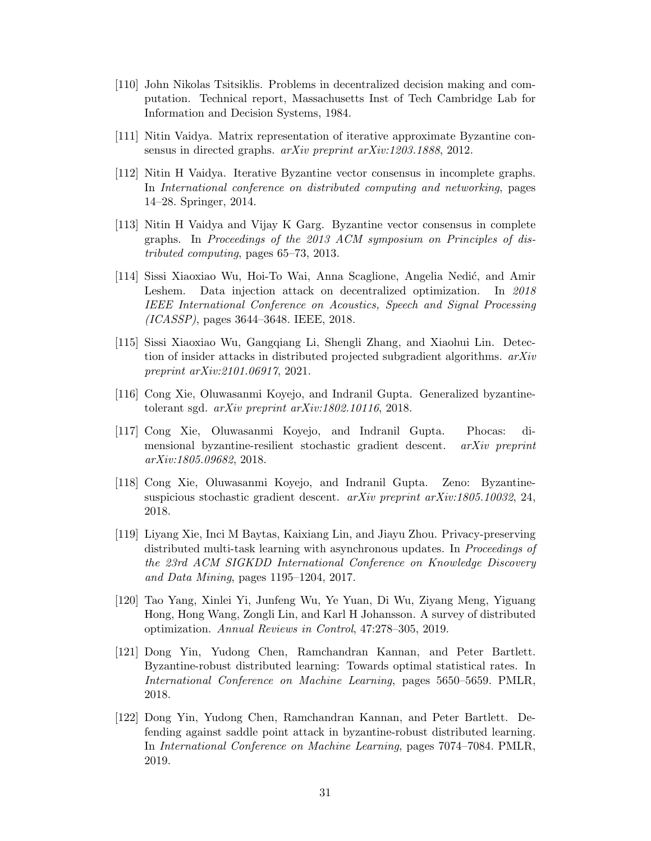- <span id="page-32-0"></span>[110] John Nikolas Tsitsiklis. Problems in decentralized decision making and computation. Technical report, Massachusetts Inst of Tech Cambridge Lab for Information and Decision Systems, 1984.
- <span id="page-32-13"></span><span id="page-32-8"></span>[111] Nitin Vaidya. Matrix representation of iterative approximate Byzantine consensus in directed graphs. *arXiv preprint arXiv:1203.1888*, 2012.
- <span id="page-32-2"></span>[112] Nitin H Vaidya. Iterative Byzantine vector consensus in incomplete graphs. In International conference on distributed computing and networking, pages 14–28. Springer, 2014.
- <span id="page-32-3"></span>[113] Nitin H Vaidya and Vijay K Garg. Byzantine vector consensus in complete graphs. In Proceedings of the 2013 ACM symposium on Principles of distributed computing, pages 65–73, 2013.
- <span id="page-32-10"></span>[114] Sissi Xiaoxiao Wu, Hoi-To Wai, Anna Scaglione, Angelia Nedi´c, and Amir Leshem. Data injection attack on decentralized optimization. In 2018 IEEE International Conference on Acoustics, Speech and Signal Processing (ICASSP), pages 3644–3648. IEEE, 2018.
- <span id="page-32-11"></span>[115] Sissi Xiaoxiao Wu, Gangqiang Li, Shengli Zhang, and Xiaohui Lin. Detection of insider attacks in distributed projected subgradient algorithms. arXiv preprint arXiv:2101.06917, 2021.
- <span id="page-32-6"></span>[116] Cong Xie, Oluwasanmi Koyejo, and Indranil Gupta. Generalized byzantinetolerant sgd. arXiv preprint arXiv:1802.10116, 2018.
- <span id="page-32-5"></span>[117] Cong Xie, Oluwasanmi Koyejo, and Indranil Gupta. Phocas: dimensional byzantine-resilient stochastic gradient descent. arXiv preprint arXiv:1805.09682, 2018.
- <span id="page-32-7"></span>[118] Cong Xie, Oluwasanmi Koyejo, and Indranil Gupta. Zeno: Byzantinesuspicious stochastic gradient descent. arXiv preprint arXiv:1805.10032, 24, 2018.
- <span id="page-32-12"></span>[119] Liyang Xie, Inci M Baytas, Kaixiang Lin, and Jiayu Zhou. Privacy-preserving distributed multi-task learning with asynchronous updates. In Proceedings of the 23rd ACM SIGKDD International Conference on Knowledge Discovery and Data Mining, pages 1195–1204, 2017.
- <span id="page-32-1"></span>[120] Tao Yang, Xinlei Yi, Junfeng Wu, Ye Yuan, Di Wu, Ziyang Meng, Yiguang Hong, Hong Wang, Zongli Lin, and Karl H Johansson. A survey of distributed optimization. Annual Reviews in Control, 47:278–305, 2019.
- <span id="page-32-4"></span>[121] Dong Yin, Yudong Chen, Ramchandran Kannan, and Peter Bartlett. Byzantine-robust distributed learning: Towards optimal statistical rates. In International Conference on Machine Learning, pages 5650–5659. PMLR, 2018.
- <span id="page-32-9"></span>[122] Dong Yin, Yudong Chen, Ramchandran Kannan, and Peter Bartlett. Defending against saddle point attack in byzantine-robust distributed learning. In International Conference on Machine Learning, pages 7074–7084. PMLR, 2019.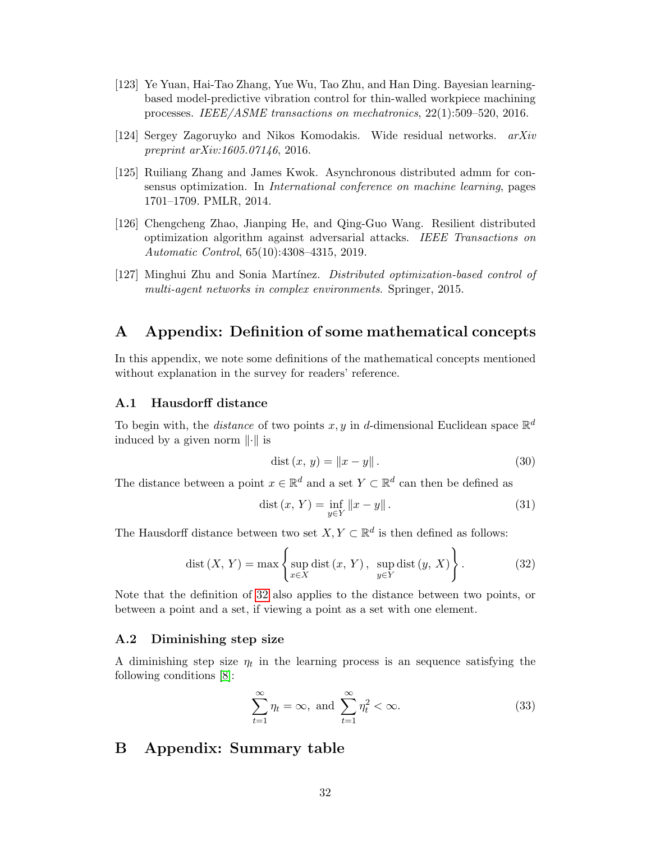- <span id="page-33-4"></span>[123] Ye Yuan, Hai-Tao Zhang, Yue Wu, Tao Zhu, and Han Ding. Bayesian learningbased model-predictive vibration control for thin-walled workpiece machining processes. IEEE/ASME transactions on mechatronics, 22(1):509–520, 2016.
- <span id="page-33-7"></span>[124] Sergey Zagoruyko and Nikos Komodakis. Wide residual networks. arXiv preprint arXiv:1605.07146, 2016.
- <span id="page-33-8"></span>[125] Ruiliang Zhang and James Kwok. Asynchronous distributed admm for consensus optimization. In International conference on machine learning, pages 1701–1709. PMLR, 2014.
- <span id="page-33-6"></span>[126] Chengcheng Zhao, Jianping He, and Qing-Guo Wang. Resilient distributed optimization algorithm against adversarial attacks. IEEE Transactions on Automatic Control, 65(10):4308–4315, 2019.
- <span id="page-33-5"></span>[127] Minghui Zhu and Sonia Martínez. Distributed optimization-based control of multi-agent networks in complex environments. Springer, 2015.

## <span id="page-33-0"></span>A Appendix: Definition of some mathematical concepts

In this appendix, we note some definitions of the mathematical concepts mentioned without explanation in the survey for readers' reference.

#### <span id="page-33-1"></span>A.1 Hausdorff distance

To begin with, the *distance* of two points  $x, y$  in *d*-dimensional Euclidean space  $\mathbb{R}^d$ induced by a given norm  $\|\cdot\|$  is

$$
dist(x, y) = \|x - y\|.
$$
 (30)

The distance between a point  $x \in \mathbb{R}^d$  and a set  $Y \subset \mathbb{R}^d$  can then be defined as

$$
dist(x, Y) = \inf_{y \in Y} ||x - y||.
$$
 (31)

The Hausdorff distance between two set  $X, Y \subset \mathbb{R}^d$  is then defined as follows:

<span id="page-33-9"></span>
$$
dist(X, Y) = \max \left\{ \sup_{x \in X} dist(x, Y), \sup_{y \in Y} dist(y, X) \right\}.
$$
 (32)

Note that the definition of [32](#page-33-9) also applies to the distance between two points, or between a point and a set, if viewing a point as a set with one element.

#### <span id="page-33-2"></span>A.2 Diminishing step size

A diminishing step size  $\eta_t$  in the learning process is an sequence satisfying the following conditions [\[8\]](#page-24-6):

$$
\sum_{t=1}^{\infty} \eta_t = \infty, \text{ and } \sum_{t=1}^{\infty} \eta_t^2 < \infty.
$$
 (33)

## <span id="page-33-3"></span>B Appendix: Summary table